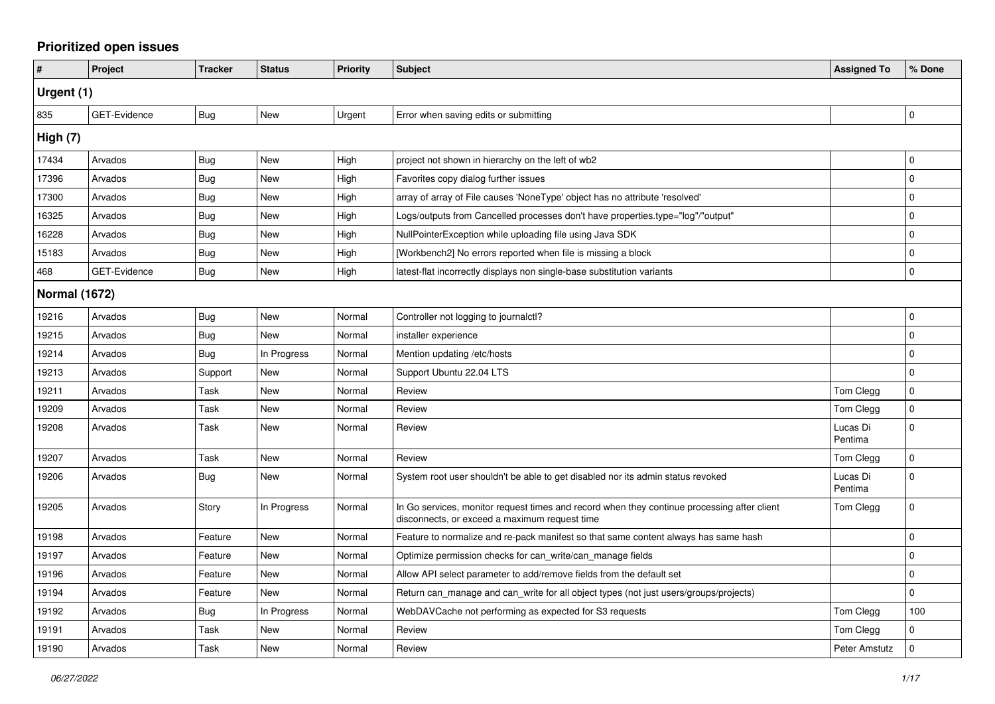## **Prioritized open issues**

| #                    | Project             | <b>Tracker</b> | <b>Status</b> | <b>Priority</b> | <b>Subject</b>                                                                                                                               | <b>Assigned To</b>  | % Done       |
|----------------------|---------------------|----------------|---------------|-----------------|----------------------------------------------------------------------------------------------------------------------------------------------|---------------------|--------------|
| Urgent (1)           |                     |                |               |                 |                                                                                                                                              |                     |              |
| 835                  | <b>GET-Evidence</b> | <b>Bug</b>     | New           | Urgent          | Error when saving edits or submitting                                                                                                        |                     | $\mathbf 0$  |
| High (7)             |                     |                |               |                 |                                                                                                                                              |                     |              |
| 17434                | Arvados             | Bug            | <b>New</b>    | High            | project not shown in hierarchy on the left of wb2                                                                                            |                     | $\mathbf 0$  |
| 17396                | Arvados             | <b>Bug</b>     | <b>New</b>    | High            | Favorites copy dialog further issues                                                                                                         |                     | $\Omega$     |
| 17300                | Arvados             | Bug            | New           | High            | array of array of File causes 'NoneType' object has no attribute 'resolved'                                                                  |                     | $\mathbf 0$  |
| 16325                | Arvados             | Bug            | <b>New</b>    | High            | Logs/outputs from Cancelled processes don't have properties.type="log"/"output"                                                              |                     | 0            |
| 16228                | Arvados             | Bug            | <b>New</b>    | High            | NullPointerException while uploading file using Java SDK                                                                                     |                     | $\Omega$     |
| 15183                | Arvados             | <b>Bug</b>     | <b>New</b>    | High            | [Workbench2] No errors reported when file is missing a block                                                                                 |                     | 0            |
| 468                  | <b>GET-Evidence</b> | Bug            | <b>New</b>    | High            | latest-flat incorrectly displays non single-base substitution variants                                                                       |                     | $\mathbf{0}$ |
| <b>Normal (1672)</b> |                     |                |               |                 |                                                                                                                                              |                     |              |
| 19216                | Arvados             | Bug            | <b>New</b>    | Normal          | Controller not logging to journalctl?                                                                                                        |                     | 0            |
| 19215                | Arvados             | Bug            | <b>New</b>    | Normal          | installer experience                                                                                                                         |                     | $\Omega$     |
| 19214                | Arvados             | Bug            | In Progress   | Normal          | Mention updating /etc/hosts                                                                                                                  |                     | $\mathbf{0}$ |
| 19213                | Arvados             | Support        | <b>New</b>    | Normal          | Support Ubuntu 22.04 LTS                                                                                                                     |                     | $\mathbf 0$  |
| 19211                | Arvados             | Task           | <b>New</b>    | Normal          | Review                                                                                                                                       | Tom Clegg           | $\Omega$     |
| 19209                | Arvados             | Task           | <b>New</b>    | Normal          | Review                                                                                                                                       | Tom Clegg           | $\mathbf{0}$ |
| 19208                | Arvados             | Task           | <b>New</b>    | Normal          | Review                                                                                                                                       | Lucas Di<br>Pentima | $\Omega$     |
| 19207                | Arvados             | Task           | <b>New</b>    | Normal          | Review                                                                                                                                       | Tom Clegg           | $\mathbf 0$  |
| 19206                | Arvados             | Bug            | New           | Normal          | System root user shouldn't be able to get disabled nor its admin status revoked                                                              | Lucas Di<br>Pentima | 0            |
| 19205                | Arvados             | Story          | In Progress   | Normal          | In Go services, monitor request times and record when they continue processing after client<br>disconnects, or exceed a maximum request time | Tom Clegg           | $\Omega$     |
| 19198                | Arvados             | Feature        | <b>New</b>    | Normal          | Feature to normalize and re-pack manifest so that same content always has same hash                                                          |                     | $\Omega$     |
| 19197                | Arvados             | Feature        | <b>New</b>    | Normal          | Optimize permission checks for can write/can manage fields                                                                                   |                     | 0            |
| 19196                | Arvados             | Feature        | <b>New</b>    | Normal          | Allow API select parameter to add/remove fields from the default set                                                                         |                     | $\mathbf 0$  |
| 19194                | Arvados             | Feature        | New           | Normal          | Return can_manage and can_write for all object types (not just users/groups/projects)                                                        |                     | $\Omega$     |
| 19192                | Arvados             | <b>Bug</b>     | In Progress   | Normal          | WebDAVCache not performing as expected for S3 requests                                                                                       | Tom Clegg           | 100          |
| 19191                | Arvados             | Task           | New           | Normal          | Review                                                                                                                                       | Tom Clegg           | 0            |
| 19190                | Arvados             | Task           | New           | Normal          | Review                                                                                                                                       | Peter Amstutz       | 0            |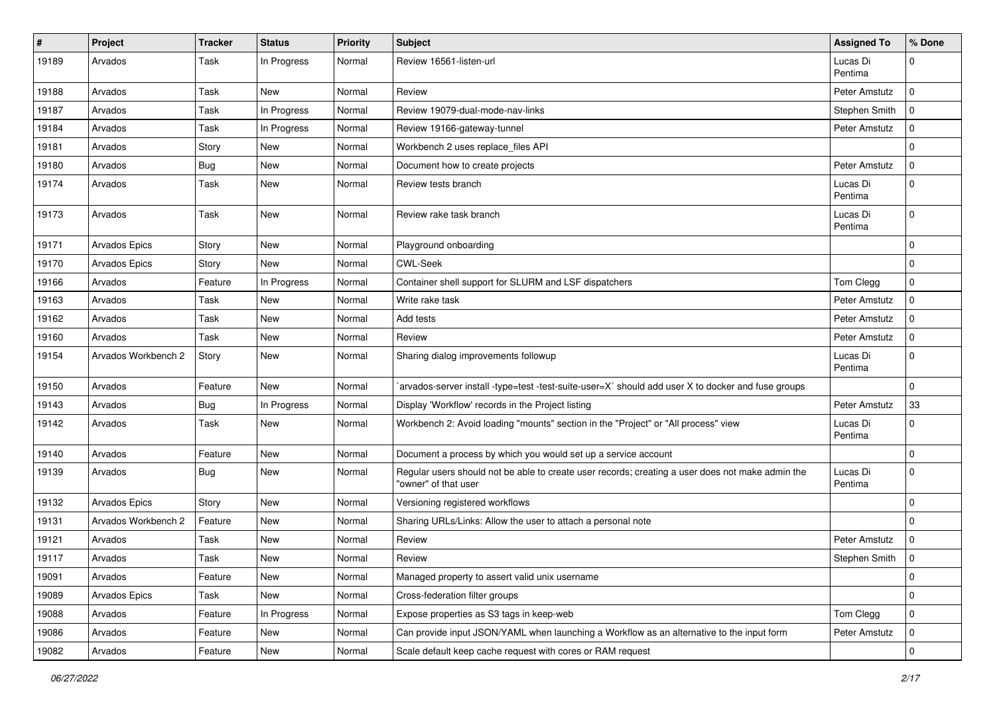| #     | Project              | <b>Tracker</b> | <b>Status</b> | <b>Priority</b> | Subject                                                                                                                  | <b>Assigned To</b>  | S Done      |
|-------|----------------------|----------------|---------------|-----------------|--------------------------------------------------------------------------------------------------------------------------|---------------------|-------------|
| 19189 | Arvados              | Task           | In Progress   | Normal          | Review 16561-listen-url                                                                                                  | Lucas Di<br>Pentima | 0           |
| 19188 | Arvados              | Task           | <b>New</b>    | Normal          | Review                                                                                                                   | Peter Amstutz       | $\Omega$    |
| 19187 | Arvados              | Task           | In Progress   | Normal          | Review 19079-dual-mode-nav-links                                                                                         | Stephen Smith       | $\Omega$    |
| 19184 | Arvados              | Task           | In Progress   | Normal          | Review 19166-gateway-tunnel                                                                                              | Peter Amstutz       | 0           |
| 19181 | Arvados              | Story          | <b>New</b>    | Normal          | Workbench 2 uses replace_files API                                                                                       |                     | $\Omega$    |
| 19180 | Arvados              | <b>Bug</b>     | <b>New</b>    | Normal          | Document how to create projects                                                                                          | Peter Amstutz       | $\Omega$    |
| 19174 | Arvados              | Task           | <b>New</b>    | Normal          | Review tests branch                                                                                                      | Lucas Di<br>Pentima | $\Omega$    |
| 19173 | Arvados              | Task           | <b>New</b>    | Normal          | Review rake task branch                                                                                                  | Lucas Di<br>Pentima | $\Omega$    |
| 19171 | <b>Arvados Epics</b> | Story          | <b>New</b>    | Normal          | Playground onboarding                                                                                                    |                     | $\mathbf 0$ |
| 19170 | <b>Arvados Epics</b> | Story          | <b>New</b>    | Normal          | <b>CWL-Seek</b>                                                                                                          |                     | $\mathbf 0$ |
| 19166 | Arvados              | Feature        | In Progress   | Normal          | Container shell support for SLURM and LSF dispatchers                                                                    | Tom Clegg           | $\Omega$    |
| 19163 | Arvados              | Task           | <b>New</b>    | Normal          | Write rake task                                                                                                          | Peter Amstutz       | $\mathbf 0$ |
| 19162 | Arvados              | Task           | New           | Normal          | Add tests                                                                                                                | Peter Amstutz       | $\Omega$    |
| 19160 | Arvados              | Task           | <b>New</b>    | Normal          | Review                                                                                                                   | Peter Amstutz       | $\Omega$    |
| 19154 | Arvados Workbench 2  | Story          | <b>New</b>    | Normal          | Sharing dialog improvements followup                                                                                     | Lucas Di<br>Pentima | $\Omega$    |
| 19150 | Arvados              | Feature        | <b>New</b>    | Normal          | `arvados-server install -type=test -test-suite-user=X` should add user X to docker and fuse groups                       |                     | $\Omega$    |
| 19143 | Arvados              | <b>Bug</b>     | In Progress   | Normal          | Display 'Workflow' records in the Project listing                                                                        | Peter Amstutz       | 33          |
| 19142 | Arvados              | Task           | <b>New</b>    | Normal          | Workbench 2: Avoid loading "mounts" section in the "Project" or "All process" view                                       | Lucas Di<br>Pentima | $\Omega$    |
| 19140 | Arvados              | Feature        | New           | Normal          | Document a process by which you would set up a service account                                                           |                     | $\mathbf 0$ |
| 19139 | Arvados              | Bug            | <b>New</b>    | Normal          | Regular users should not be able to create user records; creating a user does not make admin the<br>"owner" of that user | Lucas Di<br>Pentima | $\mathbf 0$ |
| 19132 | Arvados Epics        | Story          | <b>New</b>    | Normal          | Versioning registered workflows                                                                                          |                     | $\mathbf 0$ |
| 19131 | Arvados Workbench 2  | Feature        | <b>New</b>    | Normal          | Sharing URLs/Links: Allow the user to attach a personal note                                                             |                     | $\Omega$    |
| 19121 | Arvados              | Task           | <b>New</b>    | Normal          | Review                                                                                                                   | Peter Amstutz       | 0           |
| 19117 | Arvados              | Task           | <b>New</b>    | Normal          | Review                                                                                                                   | Stephen Smith       | l O         |
| 19091 | Arvados              | Feature        | New           | Normal          | Managed property to assert valid unix username                                                                           |                     | 0           |
| 19089 | Arvados Epics        | Task           | New           | Normal          | Cross-federation filter groups                                                                                           |                     | $\mathbf 0$ |
| 19088 | Arvados              | Feature        | In Progress   | Normal          | Expose properties as S3 tags in keep-web                                                                                 | Tom Clegg           | $\mathbf 0$ |
| 19086 | Arvados              | Feature        | New           | Normal          | Can provide input JSON/YAML when launching a Workflow as an alternative to the input form                                | Peter Amstutz       | 0           |
| 19082 | Arvados              | Feature        | New           | Normal          | Scale default keep cache request with cores or RAM request                                                               |                     | $\mathbf 0$ |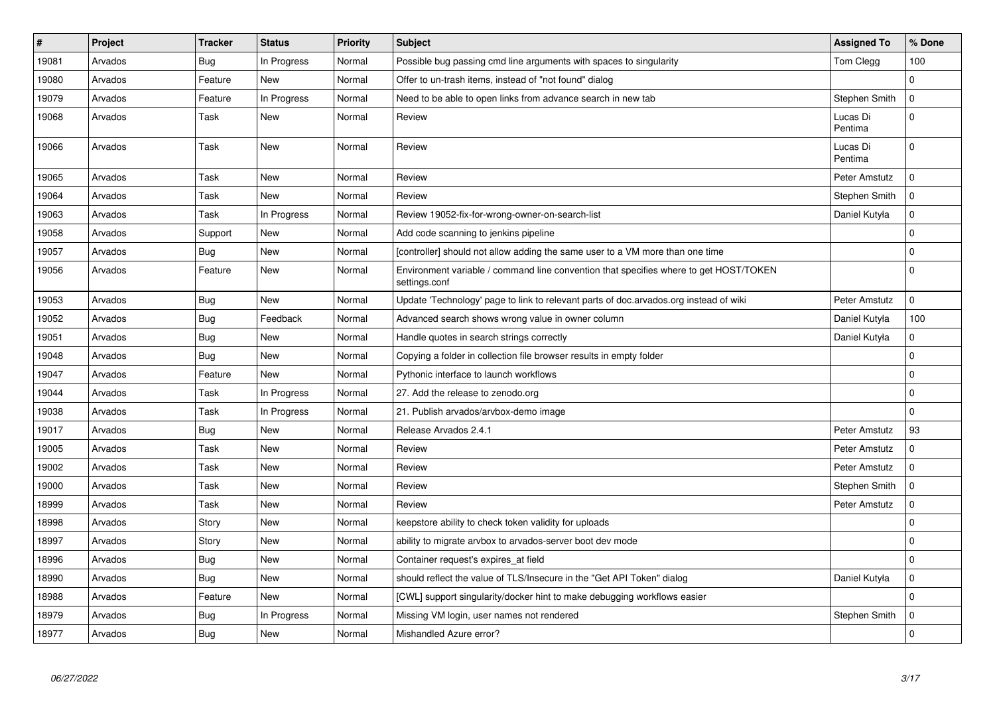| $\#$  | Project | <b>Tracker</b> | <b>Status</b> | <b>Priority</b> | <b>Subject</b>                                                                                         | <b>Assigned To</b>  | % Done         |
|-------|---------|----------------|---------------|-----------------|--------------------------------------------------------------------------------------------------------|---------------------|----------------|
| 19081 | Arvados | <b>Bug</b>     | In Progress   | Normal          | Possible bug passing cmd line arguments with spaces to singularity                                     | Tom Clegg           | 100            |
| 19080 | Arvados | Feature        | <b>New</b>    | Normal          | Offer to un-trash items, instead of "not found" dialog                                                 |                     | $\Omega$       |
| 19079 | Arvados | Feature        | In Progress   | Normal          | Need to be able to open links from advance search in new tab                                           | Stephen Smith       | $\mathbf 0$    |
| 19068 | Arvados | Task           | <b>New</b>    | Normal          | Review                                                                                                 | Lucas Di<br>Pentima | $\Omega$       |
| 19066 | Arvados | Task           | <b>New</b>    | Normal          | Review                                                                                                 | Lucas Di<br>Pentima | $\Omega$       |
| 19065 | Arvados | Task           | <b>New</b>    | Normal          | Review                                                                                                 | Peter Amstutz       | $\mathbf 0$    |
| 19064 | Arvados | Task           | <b>New</b>    | Normal          | Review                                                                                                 | Stephen Smith       | $\mathbf 0$    |
| 19063 | Arvados | Task           | In Progress   | Normal          | Review 19052-fix-for-wrong-owner-on-search-list                                                        | Daniel Kutyła       | 0              |
| 19058 | Arvados | Support        | <b>New</b>    | Normal          | Add code scanning to jenkins pipeline                                                                  |                     | $\Omega$       |
| 19057 | Arvados | Bug            | <b>New</b>    | Normal          | [controller] should not allow adding the same user to a VM more than one time                          |                     | $\Omega$       |
| 19056 | Arvados | Feature        | <b>New</b>    | Normal          | Environment variable / command line convention that specifies where to get HOST/TOKEN<br>settings.conf |                     | $\Omega$       |
| 19053 | Arvados | Bug            | <b>New</b>    | Normal          | Update 'Technology' page to link to relevant parts of doc.arvados.org instead of wiki                  | Peter Amstutz       | $\mathbf{0}$   |
| 19052 | Arvados | <b>Bug</b>     | Feedback      | Normal          | Advanced search shows wrong value in owner column                                                      | Daniel Kutyła       | 100            |
| 19051 | Arvados | Bug            | New           | Normal          | Handle quotes in search strings correctly                                                              | Daniel Kutyła       | 0              |
| 19048 | Arvados | Bug            | <b>New</b>    | Normal          | Copying a folder in collection file browser results in empty folder                                    |                     | $\Omega$       |
| 19047 | Arvados | Feature        | <b>New</b>    | Normal          | Pythonic interface to launch workflows                                                                 |                     | $\Omega$       |
| 19044 | Arvados | Task           | In Progress   | Normal          | 27. Add the release to zenodo.org                                                                      |                     | $\mathbf 0$    |
| 19038 | Arvados | Task           | In Progress   | Normal          | 21. Publish arvados/arvbox-demo image                                                                  |                     | $\Omega$       |
| 19017 | Arvados | Bug            | New           | Normal          | Release Arvados 2.4.1                                                                                  | Peter Amstutz       | 93             |
| 19005 | Arvados | Task           | <b>New</b>    | Normal          | Review                                                                                                 | Peter Amstutz       | $\Omega$       |
| 19002 | Arvados | Task           | <b>New</b>    | Normal          | Review                                                                                                 | Peter Amstutz       | $\Omega$       |
| 19000 | Arvados | Task           | <b>New</b>    | Normal          | Review                                                                                                 | Stephen Smith       | $\overline{0}$ |
| 18999 | Arvados | Task           | <b>New</b>    | Normal          | Review                                                                                                 | Peter Amstutz       | $\Omega$       |
| 18998 | Arvados | Story          | <b>New</b>    | Normal          | keepstore ability to check token validity for uploads                                                  |                     | $\mathbf 0$    |
| 18997 | Arvados | Story          | <b>New</b>    | Normal          | ability to migrate arvbox to arvados-server boot dev mode                                              |                     | $\Omega$       |
| 18996 | Arvados | Bug            | <b>New</b>    | Normal          | Container request's expires at field                                                                   |                     | $\mathbf 0$    |
| 18990 | Arvados | <b>Bug</b>     | New           | Normal          | should reflect the value of TLS/Insecure in the "Get API Token" dialog                                 | Daniel Kutyła       | $\Omega$       |
| 18988 | Arvados | Feature        | New           | Normal          | [CWL] support singularity/docker hint to make debugging workflows easier                               |                     | $\Omega$       |
| 18979 | Arvados | <b>Bug</b>     | In Progress   | Normal          | Missing VM login, user names not rendered                                                              | Stephen Smith       | $\Omega$       |
| 18977 | Arvados | Bug            | <b>New</b>    | Normal          | Mishandled Azure error?                                                                                |                     | $\Omega$       |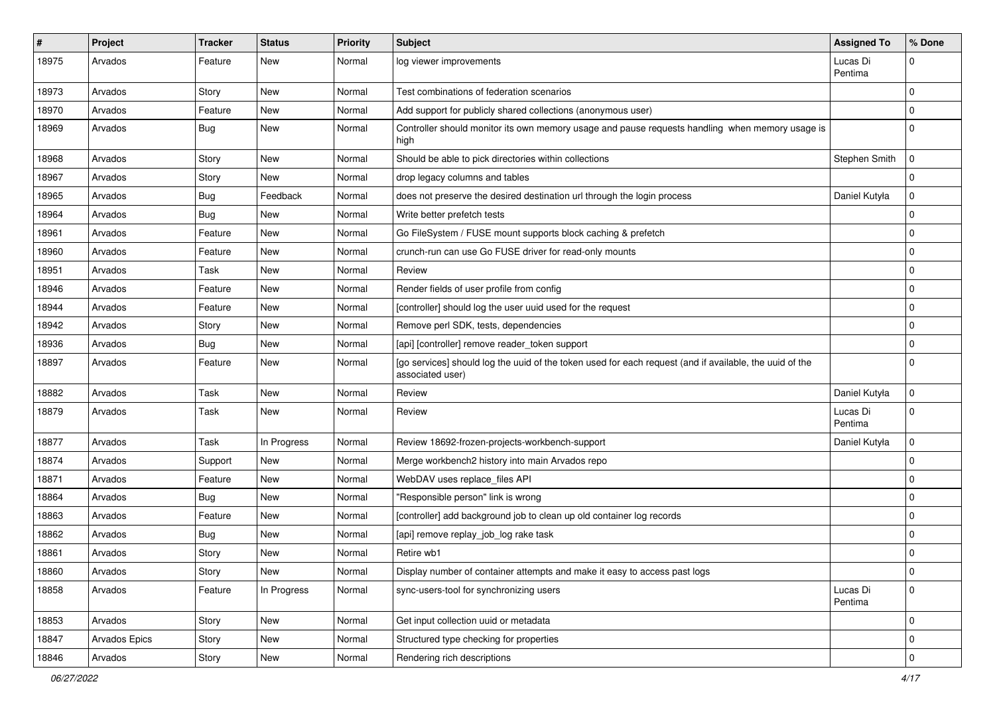| #     | Project       | <b>Tracker</b> | <b>Status</b> | <b>Priority</b> | <b>Subject</b>                                                                                                              | <b>Assigned To</b>  | % Done         |
|-------|---------------|----------------|---------------|-----------------|-----------------------------------------------------------------------------------------------------------------------------|---------------------|----------------|
| 18975 | Arvados       | Feature        | New           | Normal          | log viewer improvements                                                                                                     | Lucas Di<br>Pentima | 0              |
| 18973 | Arvados       | Story          | New           | Normal          | Test combinations of federation scenarios                                                                                   |                     | $\Omega$       |
| 18970 | Arvados       | Feature        | <b>New</b>    | Normal          | Add support for publicly shared collections (anonymous user)                                                                |                     | $\Omega$       |
| 18969 | Arvados       | <b>Bug</b>     | New           | Normal          | Controller should monitor its own memory usage and pause requests handling when memory usage is<br>high                     |                     | $\Omega$       |
| 18968 | Arvados       | Story          | New           | Normal          | Should be able to pick directories within collections                                                                       | Stephen Smith       | $\overline{0}$ |
| 18967 | Arvados       | Story          | New           | Normal          | drop legacy columns and tables                                                                                              |                     | $\mathbf 0$    |
| 18965 | Arvados       | <b>Bug</b>     | Feedback      | Normal          | does not preserve the desired destination url through the login process                                                     | Daniel Kutyła       | $\Omega$       |
| 18964 | Arvados       | Bug            | <b>New</b>    | Normal          | Write better prefetch tests                                                                                                 |                     | $\Omega$       |
| 18961 | Arvados       | Feature        | New           | Normal          | Go FileSystem / FUSE mount supports block caching & prefetch                                                                |                     | $\Omega$       |
| 18960 | Arvados       | Feature        | <b>New</b>    | Normal          | crunch-run can use Go FUSE driver for read-only mounts                                                                      |                     | $\Omega$       |
| 18951 | Arvados       | Task           | New           | Normal          | Review                                                                                                                      |                     | $\Omega$       |
| 18946 | Arvados       | Feature        | <b>New</b>    | Normal          | Render fields of user profile from config                                                                                   |                     | $\Omega$       |
| 18944 | Arvados       | Feature        | New           | Normal          | [controller] should log the user uuid used for the request                                                                  |                     | $\Omega$       |
| 18942 | Arvados       | Story          | <b>New</b>    | Normal          | Remove perl SDK, tests, dependencies                                                                                        |                     | 0              |
| 18936 | Arvados       | <b>Bug</b>     | <b>New</b>    | Normal          | [api] [controller] remove reader_token support                                                                              |                     | $\Omega$       |
| 18897 | Arvados       | Feature        | New           | Normal          | [go services] should log the uuid of the token used for each request (and if available, the uuid of the<br>associated user) |                     | $\Omega$       |
| 18882 | Arvados       | Task           | <b>New</b>    | Normal          | Review                                                                                                                      | Daniel Kutyła       | $\mathbf 0$    |
| 18879 | Arvados       | Task           | New           | Normal          | Review                                                                                                                      | Lucas Di<br>Pentima | $\Omega$       |
| 18877 | Arvados       | Task           | In Progress   | Normal          | Review 18692-frozen-projects-workbench-support                                                                              | Daniel Kutyła       | $\mathbf 0$    |
| 18874 | Arvados       | Support        | <b>New</b>    | Normal          | Merge workbench2 history into main Arvados repo                                                                             |                     | $\mathbf 0$    |
| 18871 | Arvados       | Feature        | New           | Normal          | WebDAV uses replace_files API                                                                                               |                     | $\Omega$       |
| 18864 | Arvados       | <b>Bug</b>     | New           | Normal          | "Responsible person" link is wrong                                                                                          |                     | $\Omega$       |
| 18863 | Arvados       | Feature        | <b>New</b>    | Normal          | [controller] add background job to clean up old container log records                                                       |                     | $\Omega$       |
| 18862 | Arvados       | <b>Bug</b>     | New           | Normal          | [api] remove replay_job_log rake task                                                                                       |                     | $\Omega$       |
| 18861 | Arvados       | Story          | New           | Normal          | Retire wb1                                                                                                                  |                     | 0              |
| 18860 | Arvados       | Story          | New           | Normal          | Display number of container attempts and make it easy to access past logs                                                   |                     | $\mathbf 0$    |
| 18858 | Arvados       | Feature        | In Progress   | Normal          | sync-users-tool for synchronizing users                                                                                     | Lucas Di<br>Pentima | $\mathbf 0$    |
| 18853 | Arvados       | Story          | New           | Normal          | Get input collection uuid or metadata                                                                                       |                     | $\mathbf 0$    |
| 18847 | Arvados Epics | Story          | New           | Normal          | Structured type checking for properties                                                                                     |                     | $\mathbf 0$    |
| 18846 | Arvados       | Story          | New           | Normal          | Rendering rich descriptions                                                                                                 |                     | $\pmb{0}$      |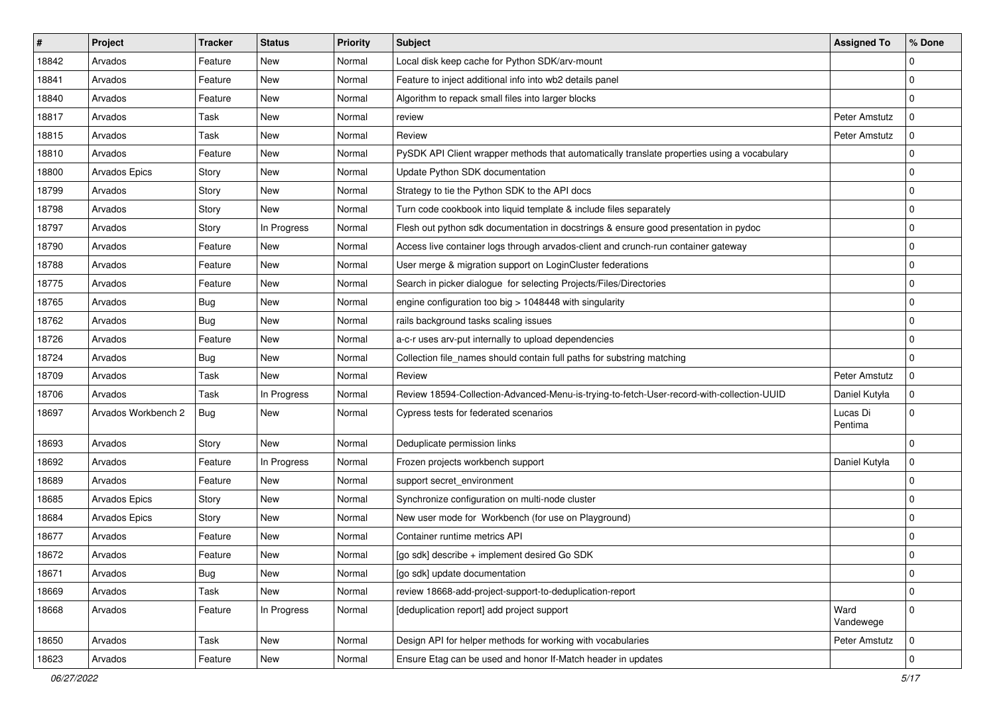| ∦     | Project              | <b>Tracker</b> | <b>Status</b> | <b>Priority</b> | <b>Subject</b>                                                                              | <b>Assigned To</b>  | % Done      |
|-------|----------------------|----------------|---------------|-----------------|---------------------------------------------------------------------------------------------|---------------------|-------------|
| 18842 | Arvados              | Feature        | New           | Normal          | Local disk keep cache for Python SDK/arv-mount                                              |                     | $\Omega$    |
| 18841 | Arvados              | Feature        | New           | Normal          | Feature to inject additional info into wb2 details panel                                    |                     | $\mathbf 0$ |
| 18840 | Arvados              | Feature        | <b>New</b>    | Normal          | Algorithm to repack small files into larger blocks                                          |                     | $\mathbf 0$ |
| 18817 | Arvados              | Task           | New           | Normal          | review                                                                                      | Peter Amstutz       | $\Omega$    |
| 18815 | Arvados              | Task           | <b>New</b>    | Normal          | Review                                                                                      | Peter Amstutz       | $\mathbf 0$ |
| 18810 | Arvados              | Feature        | New           | Normal          | PySDK API Client wrapper methods that automatically translate properties using a vocabulary |                     | $\mathbf 0$ |
| 18800 | Arvados Epics        | Story          | <b>New</b>    | Normal          | Update Python SDK documentation                                                             |                     | $\Omega$    |
| 18799 | Arvados              | Story          | <b>New</b>    | Normal          | Strategy to tie the Python SDK to the API docs                                              |                     | 0           |
| 18798 | Arvados              | Story          | New           | Normal          | Turn code cookbook into liquid template & include files separately                          |                     | $\mathbf 0$ |
| 18797 | Arvados              | Story          | In Progress   | Normal          | Flesh out python sdk documentation in docstrings & ensure good presentation in pydoc        |                     | $\mathbf 0$ |
| 18790 | Arvados              | Feature        | New           | Normal          | Access live container logs through arvados-client and crunch-run container gateway          |                     | 0           |
| 18788 | Arvados              | Feature        | New           | Normal          | User merge & migration support on LoginCluster federations                                  |                     | $\mathbf 0$ |
| 18775 | Arvados              | Feature        | New           | Normal          | Search in picker dialogue for selecting Projects/Files/Directories                          |                     | 0           |
| 18765 | Arvados              | <b>Bug</b>     | New           | Normal          | engine configuration too big > 1048448 with singularity                                     |                     | $\Omega$    |
| 18762 | Arvados              | Bug            | <b>New</b>    | Normal          | rails background tasks scaling issues                                                       |                     | $\Omega$    |
| 18726 | Arvados              | Feature        | <b>New</b>    | Normal          | a-c-r uses arv-put internally to upload dependencies                                        |                     | 0           |
| 18724 | Arvados              | <b>Bug</b>     | New           | Normal          | Collection file_names should contain full paths for substring matching                      |                     | $\Omega$    |
| 18709 | Arvados              | Task           | <b>New</b>    | Normal          | Review                                                                                      | Peter Amstutz       | $\mathbf 0$ |
| 18706 | Arvados              | Task           | In Progress   | Normal          | Review 18594-Collection-Advanced-Menu-is-trying-to-fetch-User-record-with-collection-UUID   | Daniel Kutyła       | $\Omega$    |
| 18697 | Arvados Workbench 2  | <b>Bug</b>     | New           | Normal          | Cypress tests for federated scenarios                                                       | Lucas Di<br>Pentima | $\mathbf 0$ |
| 18693 | Arvados              | Story          | <b>New</b>    | Normal          | Deduplicate permission links                                                                |                     | $\mathbf 0$ |
| 18692 | Arvados              | Feature        | In Progress   | Normal          | Frozen projects workbench support                                                           | Daniel Kutyła       | $\mathbf 0$ |
| 18689 | Arvados              | Feature        | New           | Normal          | support secret_environment                                                                  |                     | $\mathbf 0$ |
| 18685 | <b>Arvados Epics</b> | Story          | <b>New</b>    | Normal          | Synchronize configuration on multi-node cluster                                             |                     | $\mathbf 0$ |
| 18684 | <b>Arvados Epics</b> | Story          | <b>New</b>    | Normal          | New user mode for Workbench (for use on Playground)                                         |                     | 0           |
| 18677 | Arvados              | Feature        | <b>New</b>    | Normal          | Container runtime metrics API                                                               |                     | $\Omega$    |
| 18672 | Arvados              | Feature        | New           | Normal          | [go sdk] describe + implement desired Go SDK                                                |                     | $\Omega$    |
| 18671 | Arvados              | <b>Bug</b>     | New           | Normal          | [go sdk] update documentation                                                               |                     | $\mathbf 0$ |
| 18669 | Arvados              | Task           | New           | Normal          | review 18668-add-project-support-to-deduplication-report                                    |                     | $\mathbf 0$ |
| 18668 | Arvados              | Feature        | In Progress   | Normal          | [deduplication report] add project support                                                  | Ward<br>Vandewege   | $\mathbf 0$ |
| 18650 | Arvados              | Task           | New           | Normal          | Design API for helper methods for working with vocabularies                                 | Peter Amstutz       | $\mathbf 0$ |
| 18623 | Arvados              | Feature        | New           | Normal          | Ensure Etag can be used and honor If-Match header in updates                                |                     | $\mathbf 0$ |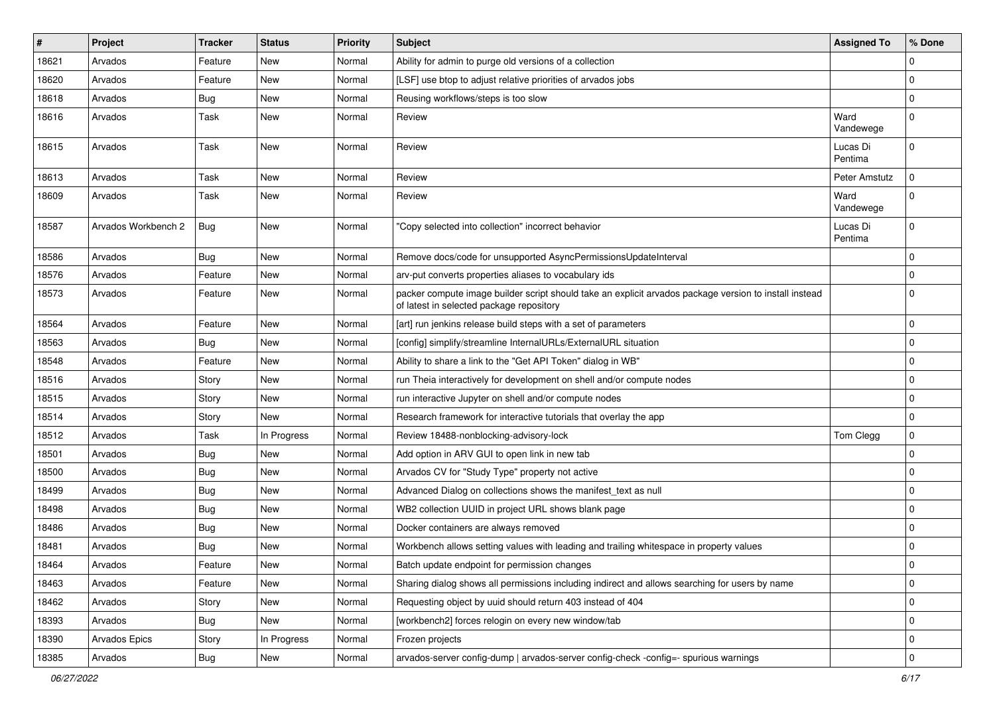| #     | Project             | <b>Tracker</b> | <b>Status</b> | <b>Priority</b> | <b>Subject</b>                                                                                                                                     | <b>Assigned To</b>  | % Done      |
|-------|---------------------|----------------|---------------|-----------------|----------------------------------------------------------------------------------------------------------------------------------------------------|---------------------|-------------|
| 18621 | Arvados             | Feature        | New           | Normal          | Ability for admin to purge old versions of a collection                                                                                            |                     | 0           |
| 18620 | Arvados             | Feature        | New           | Normal          | [LSF] use btop to adjust relative priorities of arvados jobs                                                                                       |                     | $\Omega$    |
| 18618 | Arvados             | <b>Bug</b>     | New           | Normal          | Reusing workflows/steps is too slow                                                                                                                |                     | $\Omega$    |
| 18616 | Arvados             | Task           | New           | Normal          | Review                                                                                                                                             | Ward<br>Vandewege   | $\Omega$    |
| 18615 | Arvados             | Task           | <b>New</b>    | Normal          | Review                                                                                                                                             | Lucas Di<br>Pentima | 0           |
| 18613 | Arvados             | Task           | New           | Normal          | Review                                                                                                                                             | Peter Amstutz       | 0           |
| 18609 | Arvados             | Task           | New           | Normal          | Review                                                                                                                                             | Ward<br>Vandewege   |             |
| 18587 | Arvados Workbench 2 | Bug            | <b>New</b>    | Normal          | "Copy selected into collection" incorrect behavior                                                                                                 | Lucas Di<br>Pentima | $\Omega$    |
| 18586 | Arvados             | Bug            | <b>New</b>    | Normal          | Remove docs/code for unsupported AsyncPermissionsUpdateInterval                                                                                    |                     | $\Omega$    |
| 18576 | Arvados             | Feature        | New           | Normal          | arv-put converts properties aliases to vocabulary ids                                                                                              |                     | 0           |
| 18573 | Arvados             | Feature        | New           | Normal          | packer compute image builder script should take an explicit arvados package version to install instead<br>of latest in selected package repository |                     | $\Omega$    |
| 18564 | Arvados             | Feature        | <b>New</b>    | Normal          | [art] run jenkins release build steps with a set of parameters                                                                                     |                     | $\Omega$    |
| 18563 | Arvados             | <b>Bug</b>     | New           | Normal          | [config] simplify/streamline InternalURLs/ExternalURL situation                                                                                    |                     | $\Omega$    |
| 18548 | Arvados             | Feature        | <b>New</b>    | Normal          | Ability to share a link to the "Get API Token" dialog in WB"                                                                                       |                     | 0           |
| 18516 | Arvados             | Story          | New           | Normal          | run Theia interactively for development on shell and/or compute nodes                                                                              |                     | $\Omega$    |
| 18515 | Arvados             | Story          | <b>New</b>    | Normal          | run interactive Jupyter on shell and/or compute nodes                                                                                              |                     | $\Omega$    |
| 18514 | Arvados             | Story          | New           | Normal          | Research framework for interactive tutorials that overlay the app                                                                                  |                     | $\Omega$    |
| 18512 | Arvados             | Task           | In Progress   | Normal          | Review 18488-nonblocking-advisory-lock                                                                                                             | Tom Clegg           | $\mathbf 0$ |
| 18501 | Arvados             | Bug            | New           | Normal          | Add option in ARV GUI to open link in new tab                                                                                                      |                     | $\Omega$    |
| 18500 | Arvados             | <b>Bug</b>     | New           | Normal          | Arvados CV for "Study Type" property not active                                                                                                    |                     | $\Omega$    |
| 18499 | Arvados             | Bug            | <b>New</b>    | Normal          | Advanced Dialog on collections shows the manifest_text as null                                                                                     |                     | $\Omega$    |
| 18498 | Arvados             | <b>Bug</b>     | New           | Normal          | WB2 collection UUID in project URL shows blank page                                                                                                |                     | $\Omega$    |
| 18486 | Arvados             | <b>Bug</b>     | New           | Normal          | Docker containers are always removed                                                                                                               |                     | $\Omega$    |
| 18481 | Arvados             | <b>Bug</b>     | New           | Normal          | Workbench allows setting values with leading and trailing whitespace in property values                                                            |                     | $\Omega$    |
| 18464 | Arvados             | Feature        | New           | Normal          | Batch update endpoint for permission changes                                                                                                       |                     | O           |
| 18463 | Arvados             | Feature        | <b>New</b>    | Normal          | Sharing dialog shows all permissions including indirect and allows searching for users by name                                                     |                     | $\Omega$    |
| 18462 | Arvados             | Story          | New           | Normal          | Requesting object by uuid should return 403 instead of 404                                                                                         |                     | $\Omega$    |
| 18393 | Arvados             | <b>Bug</b>     | <b>New</b>    | Normal          | [workbench2] forces relogin on every new window/tab                                                                                                |                     | $\mathbf 0$ |
| 18390 | Arvados Epics       | Story          | In Progress   | Normal          | Frozen projects                                                                                                                                    |                     | $\mathbf 0$ |
| 18385 | Arvados             | Bug            | New           | Normal          | arvados-server config-dump   arvados-server config-check -config=- spurious warnings                                                               |                     | $\mathbf 0$ |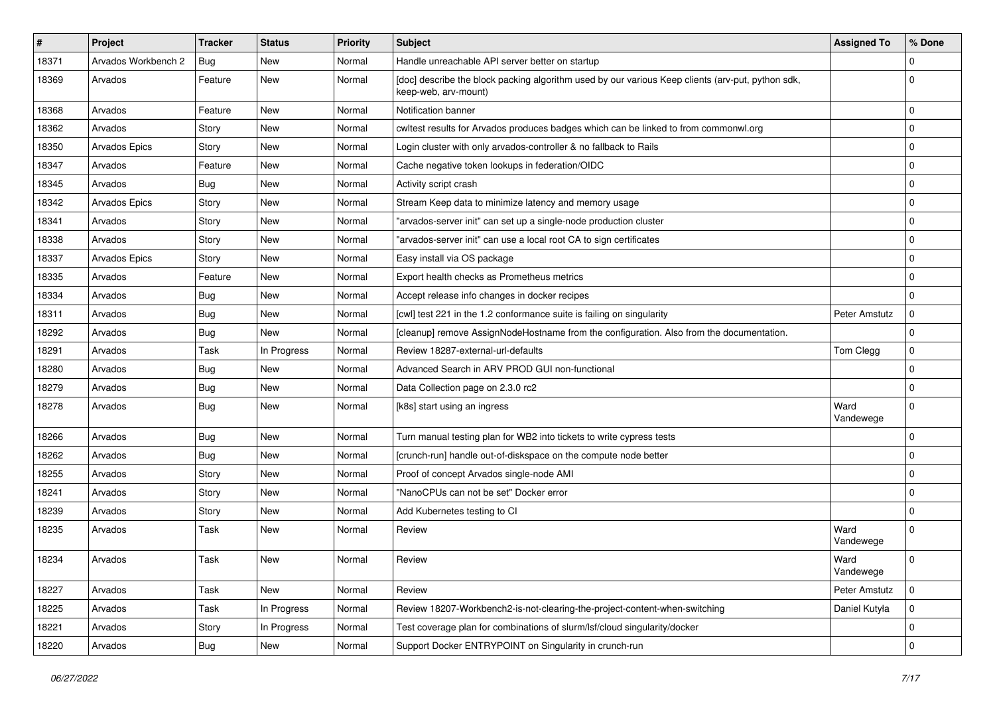| ∦     | Project              | <b>Tracker</b> | <b>Status</b> | <b>Priority</b> | Subject                                                                                                                   | <b>Assigned To</b> | % Done         |
|-------|----------------------|----------------|---------------|-----------------|---------------------------------------------------------------------------------------------------------------------------|--------------------|----------------|
| 18371 | Arvados Workbench 2  | Bug            | New           | Normal          | Handle unreachable API server better on startup                                                                           |                    | $\Omega$       |
| 18369 | Arvados              | Feature        | New           | Normal          | [doc] describe the block packing algorithm used by our various Keep clients (arv-put, python sdk,<br>keep-web, arv-mount) |                    | $\Omega$       |
| 18368 | Arvados              | Feature        | <b>New</b>    | Normal          | Notification banner                                                                                                       |                    | $\mathbf 0$    |
| 18362 | Arvados              | Story          | New           | Normal          | cwltest results for Arvados produces badges which can be linked to from commonwl.org                                      |                    | $\mathbf 0$    |
| 18350 | Arvados Epics        | Story          | New           | Normal          | Login cluster with only arvados-controller & no fallback to Rails                                                         |                    | $\mathbf 0$    |
| 18347 | Arvados              | Feature        | New           | Normal          | Cache negative token lookups in federation/OIDC                                                                           |                    | $\mathbf 0$    |
| 18345 | Arvados              | Bug            | <b>New</b>    | Normal          | Activity script crash                                                                                                     |                    | 0              |
| 18342 | <b>Arvados Epics</b> | Story          | <b>New</b>    | Normal          | Stream Keep data to minimize latency and memory usage                                                                     |                    | $\mathbf 0$    |
| 18341 | Arvados              | Story          | <b>New</b>    | Normal          | "arvados-server init" can set up a single-node production cluster                                                         |                    | $\mathbf 0$    |
| 18338 | Arvados              | Story          | <b>New</b>    | Normal          | "arvados-server init" can use a local root CA to sign certificates                                                        |                    | $\mathbf 0$    |
| 18337 | <b>Arvados Epics</b> | Story          | <b>New</b>    | Normal          | Easy install via OS package                                                                                               |                    | $\mathbf 0$    |
| 18335 | Arvados              | Feature        | <b>New</b>    | Normal          | Export health checks as Prometheus metrics                                                                                |                    | $\mathbf 0$    |
| 18334 | Arvados              | <b>Bug</b>     | New           | Normal          | Accept release info changes in docker recipes                                                                             |                    | $\Omega$       |
| 18311 | Arvados              | <b>Bug</b>     | <b>New</b>    | Normal          | [cwl] test 221 in the 1.2 conformance suite is failing on singularity                                                     | Peter Amstutz      | $\Omega$       |
| 18292 | Arvados              | Bug            | <b>New</b>    | Normal          | [cleanup] remove AssignNodeHostname from the configuration. Also from the documentation.                                  |                    | $\mathbf 0$    |
| 18291 | Arvados              | Task           | In Progress   | Normal          | Review 18287-external-url-defaults                                                                                        | Tom Clegg          | $\mathbf 0$    |
| 18280 | Arvados              | Bug            | <b>New</b>    | Normal          | Advanced Search in ARV PROD GUI non-functional                                                                            |                    | $\mathbf 0$    |
| 18279 | Arvados              | Bug            | <b>New</b>    | Normal          | Data Collection page on 2.3.0 rc2                                                                                         |                    | $\mathbf 0$    |
| 18278 | Arvados              | Bug            | New           | Normal          | [k8s] start using an ingress                                                                                              | Ward<br>Vandewege  | $\mathbf 0$    |
| 18266 | Arvados              | <b>Bug</b>     | <b>New</b>    | Normal          | Turn manual testing plan for WB2 into tickets to write cypress tests                                                      |                    | $\mathbf 0$    |
| 18262 | Arvados              | Bug            | <b>New</b>    | Normal          | [crunch-run] handle out-of-diskspace on the compute node better                                                           |                    | $\Omega$       |
| 18255 | Arvados              | Story          | <b>New</b>    | Normal          | Proof of concept Arvados single-node AMI                                                                                  |                    | $\mathbf 0$    |
| 18241 | Arvados              | Story          | New           | Normal          | "NanoCPUs can not be set" Docker error                                                                                    |                    | $\mathbf 0$    |
| 18239 | Arvados              | Story          | <b>New</b>    | Normal          | Add Kubernetes testing to CI                                                                                              |                    | $\mathbf 0$    |
| 18235 | Arvados              | Task           | <b>New</b>    | Normal          | Review                                                                                                                    | Ward<br>Vandewege  | $\Omega$       |
| 18234 | Arvados              | Task           | <b>New</b>    | Normal          | Review                                                                                                                    | Ward<br>Vandewege  | 0              |
| 18227 | Arvados              | Task           | New           | Normal          | Review                                                                                                                    | Peter Amstutz      | $\overline{0}$ |
| 18225 | Arvados              | Task           | In Progress   | Normal          | Review 18207-Workbench2-is-not-clearing-the-project-content-when-switching                                                | Daniel Kutyła      | $\mathbf 0$    |
| 18221 | Arvados              | Story          | In Progress   | Normal          | Test coverage plan for combinations of slurm/lsf/cloud singularity/docker                                                 |                    | $\mathbf 0$    |
| 18220 | Arvados              | <b>Bug</b>     | New           | Normal          | Support Docker ENTRYPOINT on Singularity in crunch-run                                                                    |                    | $\pmb{0}$      |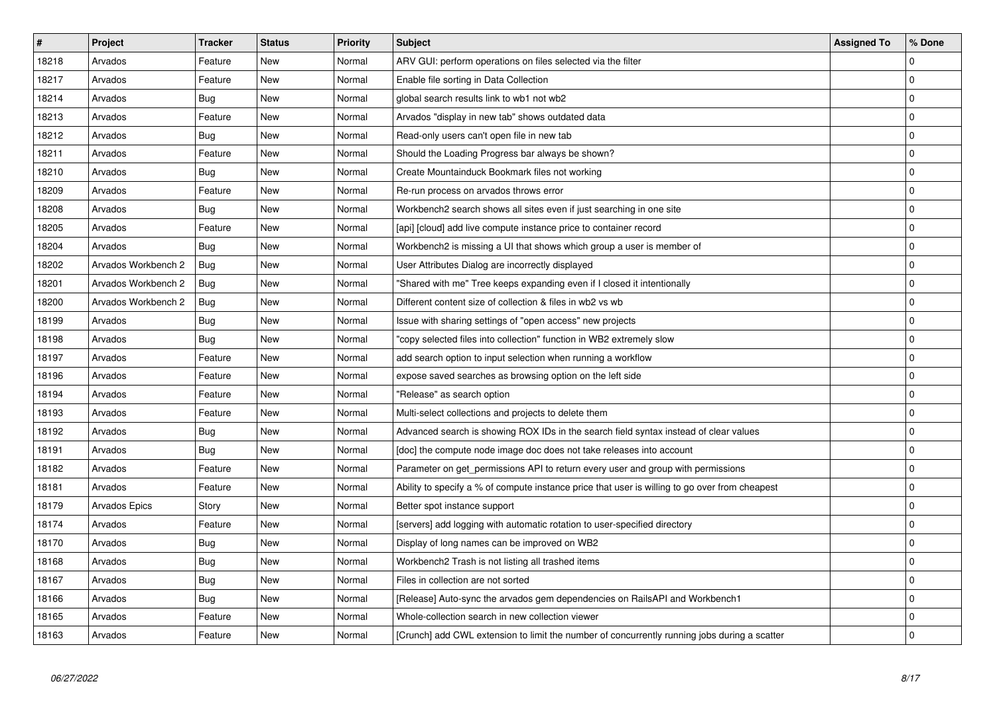| $\vert$ # | Project              | <b>Tracker</b> | <b>Status</b> | Priority | <b>Subject</b>                                                                                 | <b>Assigned To</b> | % Done       |
|-----------|----------------------|----------------|---------------|----------|------------------------------------------------------------------------------------------------|--------------------|--------------|
| 18218     | Arvados              | Feature        | New           | Normal   | ARV GUI: perform operations on files selected via the filter                                   |                    | $\Omega$     |
| 18217     | Arvados              | Feature        | <b>New</b>    | Normal   | Enable file sorting in Data Collection                                                         |                    | $\mathbf 0$  |
| 18214     | Arvados              | Bug            | New           | Normal   | global search results link to wb1 not wb2                                                      |                    | $\mathbf 0$  |
| 18213     | Arvados              | Feature        | New           | Normal   | Arvados "display in new tab" shows outdated data                                               |                    | $\mathbf 0$  |
| 18212     | Arvados              | Bug            | <b>New</b>    | Normal   | Read-only users can't open file in new tab                                                     |                    | $\mathbf 0$  |
| 18211     | Arvados              | Feature        | <b>New</b>    | Normal   | Should the Loading Progress bar always be shown?                                               |                    | $\mathbf 0$  |
| 18210     | Arvados              | Bug            | New           | Normal   | Create Mountainduck Bookmark files not working                                                 |                    | $\Omega$     |
| 18209     | Arvados              | Feature        | New           | Normal   | Re-run process on arvados throws error                                                         |                    | $\mathbf 0$  |
| 18208     | Arvados              | Bug            | New           | Normal   | Workbench2 search shows all sites even if just searching in one site                           |                    | $\mathbf 0$  |
| 18205     | Arvados              | Feature        | New           | Normal   | [api] [cloud] add live compute instance price to container record                              |                    | $\mathbf 0$  |
| 18204     | Arvados              | Bug            | New           | Normal   | Workbench2 is missing a UI that shows which group a user is member of                          |                    | $\mathbf 0$  |
| 18202     | Arvados Workbench 2  | Bug            | <b>New</b>    | Normal   | User Attributes Dialog are incorrectly displayed                                               |                    | $\mathbf 0$  |
| 18201     | Arvados Workbench 2  | Bug            | New           | Normal   | "Shared with me" Tree keeps expanding even if I closed it intentionally                        |                    | $\mathbf 0$  |
| 18200     | Arvados Workbench 2  | Bug            | New           | Normal   | Different content size of collection & files in wb2 vs wb                                      |                    | $\mathbf 0$  |
| 18199     | Arvados              | Bug            | New           | Normal   | Issue with sharing settings of "open access" new projects                                      |                    | $\mathbf 0$  |
| 18198     | Arvados              | Bug            | <b>New</b>    | Normal   | 'copy selected files into collection" function in WB2 extremely slow                           |                    | $\mathbf 0$  |
| 18197     | Arvados              | Feature        | <b>New</b>    | Normal   | add search option to input selection when running a workflow                                   |                    | $\mathbf 0$  |
| 18196     | Arvados              | Feature        | <b>New</b>    | Normal   | expose saved searches as browsing option on the left side                                      |                    | $\mathbf 0$  |
| 18194     | Arvados              | Feature        | New           | Normal   | 'Release" as search option                                                                     |                    | $\mathbf 0$  |
| 18193     | Arvados              | Feature        | <b>New</b>    | Normal   | Multi-select collections and projects to delete them                                           |                    | $\mathbf{0}$ |
| 18192     | Arvados              | <b>Bug</b>     | <b>New</b>    | Normal   | Advanced search is showing ROX IDs in the search field syntax instead of clear values          |                    | $\mathbf 0$  |
| 18191     | Arvados              | Bug            | New           | Normal   | [doc] the compute node image doc does not take releases into account                           |                    | $\mathbf 0$  |
| 18182     | Arvados              | Feature        | <b>New</b>    | Normal   | Parameter on get_permissions API to return every user and group with permissions               |                    | $\mathbf 0$  |
| 18181     | Arvados              | Feature        | <b>New</b>    | Normal   | Ability to specify a % of compute instance price that user is willing to go over from cheapest |                    | $\mathbf 0$  |
| 18179     | <b>Arvados Epics</b> | Story          | <b>New</b>    | Normal   | Better spot instance support                                                                   |                    | $\pmb{0}$    |
| 18174     | Arvados              | Feature        | New           | Normal   | [servers] add logging with automatic rotation to user-specified directory                      |                    | $\Omega$     |
| 18170     | Arvados              | <b>Bug</b>     | New           | Normal   | Display of long names can be improved on WB2                                                   |                    | $\mathbf 0$  |
| 18168     | Arvados              | Bug            | New           | Normal   | Workbench2 Trash is not listing all trashed items                                              |                    | $\mathbf{0}$ |
| 18167     | Arvados              | Bug            | New           | Normal   | Files in collection are not sorted                                                             |                    | $\mathbf 0$  |
| 18166     | Arvados              | Bug            | New           | Normal   | [Release] Auto-sync the arvados gem dependencies on RailsAPI and Workbench1                    |                    | $\mathbf 0$  |
| 18165     | Arvados              | Feature        | New           | Normal   | Whole-collection search in new collection viewer                                               |                    | $\mathbf 0$  |
| 18163     | Arvados              | Feature        | New           | Normal   | [Crunch] add CWL extension to limit the number of concurrently running jobs during a scatter   |                    | $\Omega$     |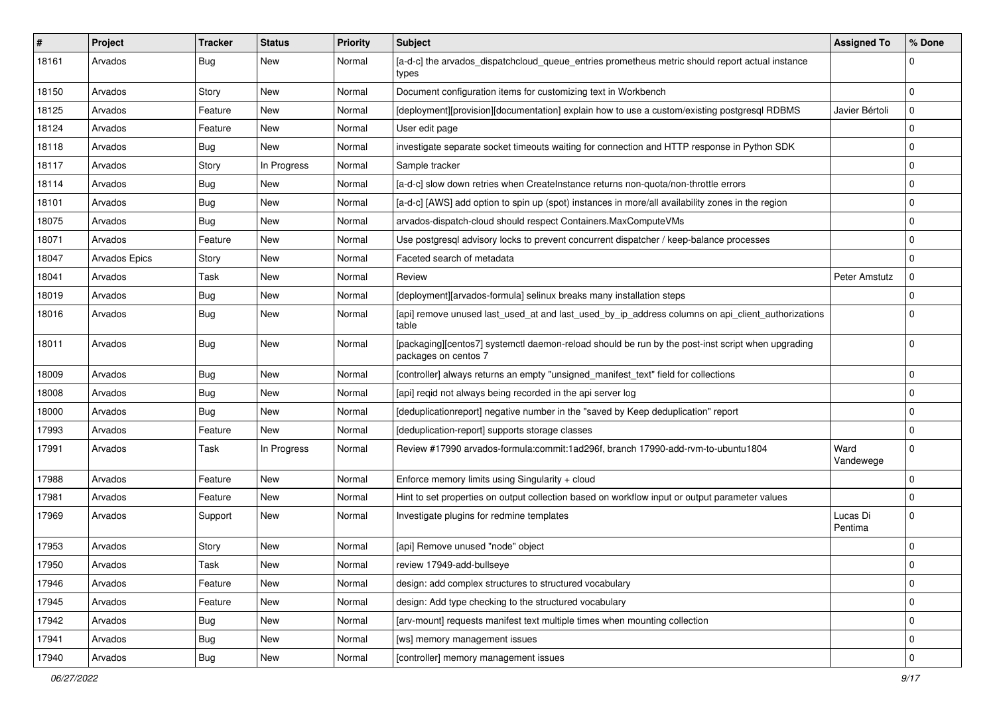| #     | Project              | <b>Tracker</b> | <b>Status</b> | <b>Priority</b> | <b>Subject</b>                                                                                                            | <b>Assigned To</b>  | % Done      |
|-------|----------------------|----------------|---------------|-----------------|---------------------------------------------------------------------------------------------------------------------------|---------------------|-------------|
| 18161 | Arvados              | Bug            | New           | Normal          | [a-d-c] the arvados_dispatchcloud_queue_entries prometheus metric should report actual instance<br>types                  |                     | $\Omega$    |
| 18150 | Arvados              | Story          | New           | Normal          | Document configuration items for customizing text in Workbench                                                            |                     | $\Omega$    |
| 18125 | Arvados              | Feature        | New           | Normal          | [deployment][provision][documentation] explain how to use a custom/existing postgresql RDBMS                              | Javier Bértoli      | $\Omega$    |
| 18124 | Arvados              | Feature        | New           | Normal          | User edit page                                                                                                            |                     | $\Omega$    |
| 18118 | Arvados              | Bug            | New           | Normal          | investigate separate socket timeouts waiting for connection and HTTP response in Python SDK                               |                     | $\Omega$    |
| 18117 | Arvados              | Story          | In Progress   | Normal          | Sample tracker                                                                                                            |                     | $\Omega$    |
| 18114 | Arvados              | Bug            | New           | Normal          | [a-d-c] slow down retries when CreateInstance returns non-quota/non-throttle errors                                       |                     | $\Omega$    |
| 18101 | Arvados              | <b>Bug</b>     | New           | Normal          | [a-d-c] [AWS] add option to spin up (spot) instances in more/all availability zones in the region                         |                     | $\Omega$    |
| 18075 | Arvados              | Bug            | New           | Normal          | arvados-dispatch-cloud should respect Containers.MaxComputeVMs                                                            |                     | $\Omega$    |
| 18071 | Arvados              | Feature        | New           | Normal          | Use postgresql advisory locks to prevent concurrent dispatcher / keep-balance processes                                   |                     | $\Omega$    |
| 18047 | <b>Arvados Epics</b> | Story          | New           | Normal          | Faceted search of metadata                                                                                                |                     | $\Omega$    |
| 18041 | Arvados              | Task           | New           | Normal          | Review                                                                                                                    | Peter Amstutz       | 0           |
| 18019 | Arvados              | Bug            | New           | Normal          | [deployment][arvados-formula] selinux breaks many installation steps                                                      |                     | $\Omega$    |
| 18016 | Arvados              | Bug            | New           | Normal          | [api] remove unused last_used_at and last_used_by_ip_address columns on api_client_authorizations<br>table                |                     | $\Omega$    |
| 18011 | Arvados              | Bug            | New           | Normal          | [packaging][centos7] systemctl daemon-reload should be run by the post-inst script when upgrading<br>packages on centos 7 |                     | $\mathbf 0$ |
| 18009 | Arvados              | Bug            | New           | Normal          | [controller] always returns an empty "unsigned_manifest_text" field for collections                                       |                     | $\Omega$    |
| 18008 | Arvados              | Bug            | New           | Normal          | [api] reqid not always being recorded in the api server log                                                               |                     | $\mathbf 0$ |
| 18000 | Arvados              | Bug            | New           | Normal          | [deduplicationreport] negative number in the "saved by Keep deduplication" report                                         |                     | $\Omega$    |
| 17993 | Arvados              | Feature        | New           | Normal          | [deduplication-report] supports storage classes                                                                           |                     | $\Omega$    |
| 17991 | Arvados              | Task           | In Progress   | Normal          | Review #17990 arvados-formula:commit:1ad296f, branch 17990-add-rvm-to-ubuntu1804                                          | Ward<br>Vandewege   | $\Omega$    |
| 17988 | Arvados              | Feature        | New           | Normal          | Enforce memory limits using Singularity + cloud                                                                           |                     | $\Omega$    |
| 17981 | Arvados              | Feature        | New           | Normal          | Hint to set properties on output collection based on workflow input or output parameter values                            |                     | $\mathbf 0$ |
| 17969 | Arvados              | Support        | New           | Normal          | Investigate plugins for redmine templates                                                                                 | Lucas Di<br>Pentima | $\Omega$    |
| 17953 | Arvados              | Story          | New           | Normal          | [api] Remove unused "node" object                                                                                         |                     | $\Omega$    |
| 17950 | Arvados              | Task           | New           | Normal          | review 17949-add-bullseye                                                                                                 |                     | $\mathbf 0$ |
| 17946 | Arvados              | Feature        | <b>New</b>    | Normal          | design: add complex structures to structured vocabulary                                                                   |                     | $\mathbf 0$ |
| 17945 | Arvados              | Feature        | New           | Normal          | design: Add type checking to the structured vocabulary                                                                    |                     | $\mathbf 0$ |
| 17942 | Arvados              | <b>Bug</b>     | New           | Normal          | [arv-mount] requests manifest text multiple times when mounting collection                                                |                     | $\mathbf 0$ |
| 17941 | Arvados              | <b>Bug</b>     | New           | Normal          | [ws] memory management issues                                                                                             |                     | $\mathbf 0$ |
| 17940 | Arvados              | <b>Bug</b>     | New           | Normal          | [controller] memory management issues                                                                                     |                     | $\mathbf 0$ |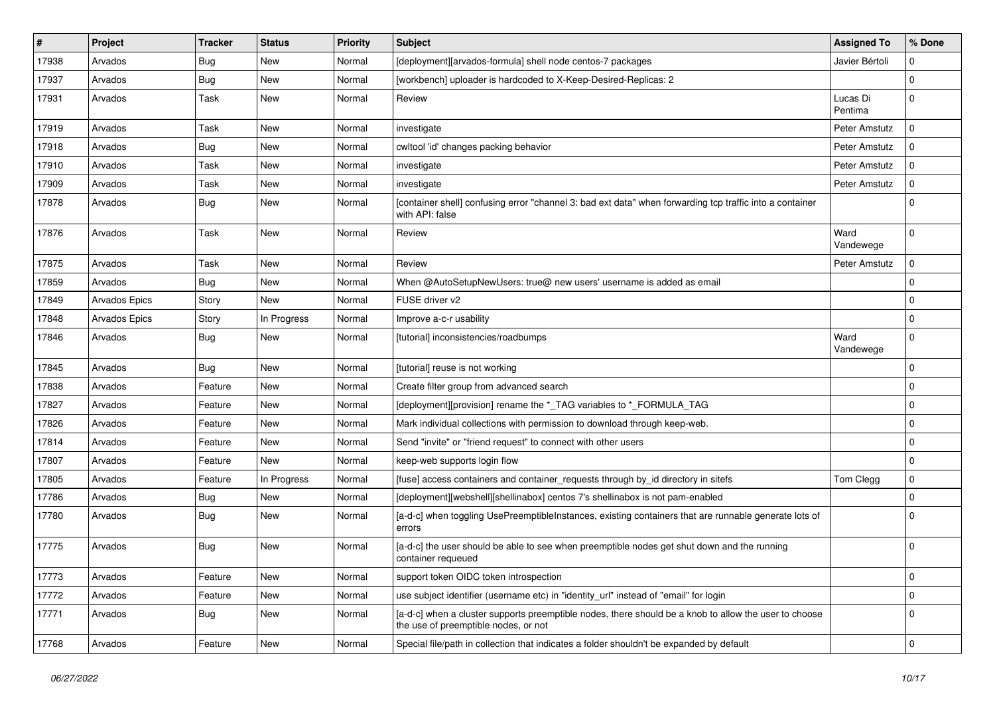| $\#$  | Project       | <b>Tracker</b> | <b>Status</b> | <b>Priority</b> | <b>Subject</b>                                                                                                                                | <b>Assigned To</b>  | % Done      |
|-------|---------------|----------------|---------------|-----------------|-----------------------------------------------------------------------------------------------------------------------------------------------|---------------------|-------------|
| 17938 | Arvados       | Bug            | New           | Normal          | [deployment][arvados-formula] shell node centos-7 packages                                                                                    | Javier Bértoli      | 0           |
| 17937 | Arvados       | <b>Bug</b>     | <b>New</b>    | Normal          | [workbench] uploader is hardcoded to X-Keep-Desired-Replicas: 2                                                                               |                     | $\Omega$    |
| 17931 | Arvados       | Task           | New           | Normal          | Review                                                                                                                                        | Lucas Di<br>Pentima | $\Omega$    |
| 17919 | Arvados       | Task           | <b>New</b>    | Normal          | investigate                                                                                                                                   | Peter Amstutz       | $\Omega$    |
| 17918 | Arvados       | <b>Bug</b>     | New           | Normal          | cwltool 'id' changes packing behavior                                                                                                         | Peter Amstutz       | O           |
| 17910 | Arvados       | Task           | New           | Normal          | investigate                                                                                                                                   | Peter Amstutz       | $\Omega$    |
| 17909 | Arvados       | Task           | New           | Normal          | investigate                                                                                                                                   | Peter Amstutz       | 0           |
| 17878 | Arvados       | Bug            | New           | Normal          | [container shell] confusing error "channel 3: bad ext data" when forwarding tcp traffic into a container<br>with API: false                   |                     | $\Omega$    |
| 17876 | Arvados       | Task           | New           | Normal          | Review                                                                                                                                        | Ward<br>Vandewege   | $\Omega$    |
| 17875 | Arvados       | Task           | <b>New</b>    | Normal          | Review                                                                                                                                        | Peter Amstutz       | 0           |
| 17859 | Arvados       | <b>Bug</b>     | New           | Normal          | When @AutoSetupNewUsers: true@ new users' username is added as email                                                                          |                     | $\Omega$    |
| 17849 | Arvados Epics | Story          | New           | Normal          | FUSE driver v2                                                                                                                                |                     | $\Omega$    |
| 17848 | Arvados Epics | Story          | In Progress   | Normal          | Improve a-c-r usability                                                                                                                       |                     | $\Omega$    |
| 17846 | Arvados       | <b>Bug</b>     | New           | Normal          | [tutorial] inconsistencies/roadbumps                                                                                                          | Ward<br>Vandewege   | $\Omega$    |
| 17845 | Arvados       | Bug            | New           | Normal          | [tutorial] reuse is not working                                                                                                               |                     | $\Omega$    |
| 17838 | Arvados       | Feature        | <b>New</b>    | Normal          | Create filter group from advanced search                                                                                                      |                     | $\Omega$    |
| 17827 | Arvados       | Feature        | New           | Normal          | [deployment][provision] rename the *_TAG variables to *_FORMULA_TAG                                                                           |                     | $\Omega$    |
| 17826 | Arvados       | Feature        | New           | Normal          | Mark individual collections with permission to download through keep-web.                                                                     |                     | $\Omega$    |
| 17814 | Arvados       | Feature        | <b>New</b>    | Normal          | Send "invite" or "friend request" to connect with other users                                                                                 |                     | $\Omega$    |
| 17807 | Arvados       | Feature        | New           | Normal          | keep-web supports login flow                                                                                                                  |                     | $\mathbf 0$ |
| 17805 | Arvados       | Feature        | In Progress   | Normal          | [fuse] access containers and container_requests through by_id directory in sitefs                                                             | Tom Clegg           | $\Omega$    |
| 17786 | Arvados       | Bug            | <b>New</b>    | Normal          | [deployment][webshell][shellinabox] centos 7's shellinabox is not pam-enabled                                                                 |                     | $\Omega$    |
| 17780 | Arvados       | <b>Bug</b>     | New           | Normal          | [a-d-c] when toggling UsePreemptibleInstances, existing containers that are runnable generate lots of<br>errors                               |                     | ŋ           |
| 17775 | Arvados       | Bug            | New           | Normal          | [a-d-c] the user should be able to see when preemptible nodes get shut down and the running<br>container requeued                             |                     | $\Omega$    |
| 17773 | Arvados       | Feature        | <b>New</b>    | Normal          | support token OIDC token introspection                                                                                                        |                     | $\Omega$    |
| 17772 | Arvados       | Feature        | New           | Normal          | use subject identifier (username etc) in "identity url" instead of "email" for login                                                          |                     | $\mathbf 0$ |
| 17771 | Arvados       | <b>Bug</b>     | New           | Normal          | [a-d-c] when a cluster supports preemptible nodes, there should be a knob to allow the user to choose<br>the use of preemptible nodes, or not |                     | $\Omega$    |
| 17768 | Arvados       | Feature        | New           | Normal          | Special file/path in collection that indicates a folder shouldn't be expanded by default                                                      |                     | $\mathbf 0$ |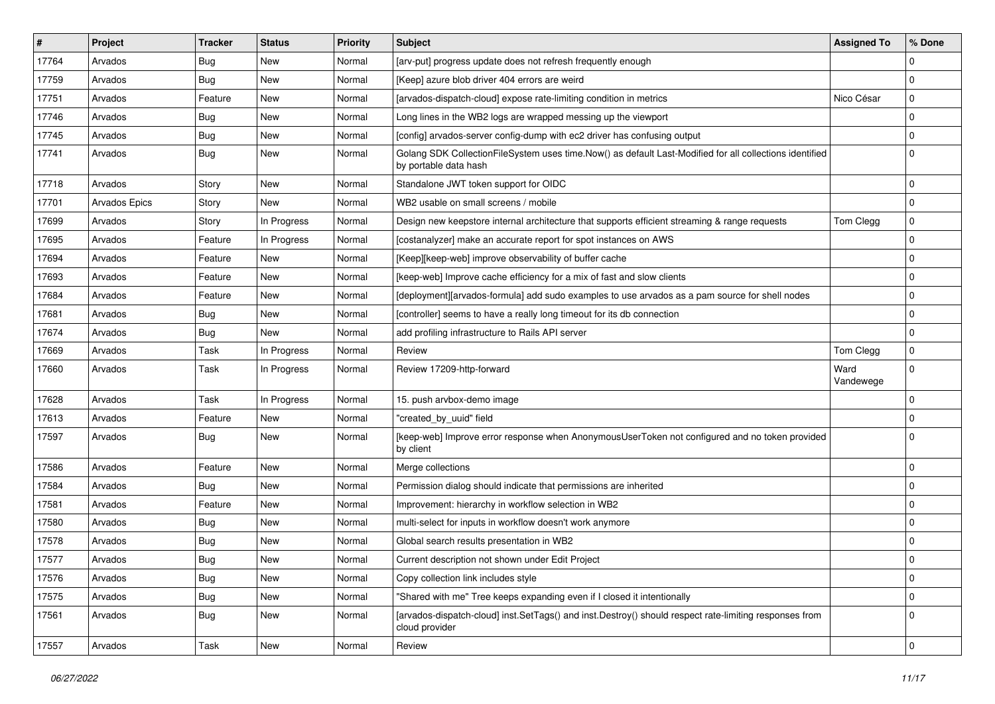| #     | Project              | <b>Tracker</b> | <b>Status</b> | <b>Priority</b> | Subject                                                                                                                          | <b>Assigned To</b> | % Done      |
|-------|----------------------|----------------|---------------|-----------------|----------------------------------------------------------------------------------------------------------------------------------|--------------------|-------------|
| 17764 | Arvados              | <b>Bug</b>     | New           | Normal          | [arv-put] progress update does not refresh frequently enough                                                                     |                    | $\Omega$    |
| 17759 | Arvados              | Bug            | <b>New</b>    | Normal          | [Keep] azure blob driver 404 errors are weird                                                                                    |                    | $\Omega$    |
| 17751 | Arvados              | Feature        | New           | Normal          | [arvados-dispatch-cloud] expose rate-limiting condition in metrics                                                               | Nico César         | $\mathbf 0$ |
| 17746 | Arvados              | <b>Bug</b>     | <b>New</b>    | Normal          | Long lines in the WB2 logs are wrapped messing up the viewport                                                                   |                    | $\mathbf 0$ |
| 17745 | Arvados              | <b>Bug</b>     | <b>New</b>    | Normal          | [config] arvados-server config-dump with ec2 driver has confusing output                                                         |                    | $\mathbf 0$ |
| 17741 | Arvados              | Bug            | <b>New</b>    | Normal          | Golang SDK CollectionFileSystem uses time.Now() as default Last-Modified for all collections identified<br>by portable data hash |                    | $\Omega$    |
| 17718 | Arvados              | Story          | New           | Normal          | Standalone JWT token support for OIDC                                                                                            |                    | $\mathbf 0$ |
| 17701 | <b>Arvados Epics</b> | Story          | <b>New</b>    | Normal          | WB2 usable on small screens / mobile                                                                                             |                    | $\mathbf 0$ |
| 17699 | Arvados              | Story          | In Progress   | Normal          | Design new keepstore internal architecture that supports efficient streaming & range requests                                    | Tom Clegg          | 0           |
| 17695 | Arvados              | Feature        | In Progress   | Normal          | [costanalyzer] make an accurate report for spot instances on AWS                                                                 |                    | $\Omega$    |
| 17694 | Arvados              | Feature        | New           | Normal          | [Keep][keep-web] improve observability of buffer cache                                                                           |                    | $\mathbf 0$ |
| 17693 | Arvados              | Feature        | New           | Normal          | [keep-web] Improve cache efficiency for a mix of fast and slow clients                                                           |                    | 0           |
| 17684 | Arvados              | Feature        | New           | Normal          | [deployment][arvados-formula] add sudo examples to use arvados as a pam source for shell nodes                                   |                    | $\mathbf 0$ |
| 17681 | Arvados              | <b>Bug</b>     | <b>New</b>    | Normal          | [controller] seems to have a really long timeout for its db connection                                                           |                    | $\mathbf 0$ |
| 17674 | Arvados              | <b>Bug</b>     | <b>New</b>    | Normal          | add profiling infrastructure to Rails API server                                                                                 |                    | $\mathbf 0$ |
| 17669 | Arvados              | Task           | In Progress   | Normal          | Review                                                                                                                           | Tom Clegg          | $\mathbf 0$ |
| 17660 | Arvados              | Task           | In Progress   | Normal          | Review 17209-http-forward                                                                                                        | Ward<br>Vandewege  | $\Omega$    |
| 17628 | Arvados              | Task           | In Progress   | Normal          | 15. push arvbox-demo image                                                                                                       |                    | $\mathbf 0$ |
| 17613 | Arvados              | Feature        | <b>New</b>    | Normal          | "created by uuid" field                                                                                                          |                    | 0           |
| 17597 | Arvados              | Bug            | New           | Normal          | [keep-web] Improve error response when AnonymousUserToken not configured and no token provided<br>by client                      |                    | $\Omega$    |
| 17586 | Arvados              | Feature        | <b>New</b>    | Normal          | Merge collections                                                                                                                |                    | $\mathbf 0$ |
| 17584 | Arvados              | <b>Bug</b>     | New           | Normal          | Permission dialog should indicate that permissions are inherited                                                                 |                    | $\mathbf 0$ |
| 17581 | Arvados              | Feature        | <b>New</b>    | Normal          | Improvement: hierarchy in workflow selection in WB2                                                                              |                    | $\mathbf 0$ |
| 17580 | Arvados              | <b>Bug</b>     | New           | Normal          | multi-select for inputs in workflow doesn't work anymore                                                                         |                    | $\Omega$    |
| 17578 | Arvados              | <b>Bug</b>     | New           | Normal          | Global search results presentation in WB2                                                                                        |                    | $\mathbf 0$ |
| 17577 | Arvados              | Bug            | New           | Normal          | Current description not shown under Edit Project                                                                                 |                    | 0           |
| 17576 | Arvados              | <b>Bug</b>     | New           | Normal          | Copy collection link includes style                                                                                              |                    | 0           |
| 17575 | Arvados              | <b>Bug</b>     | New           | Normal          | "Shared with me" Tree keeps expanding even if I closed it intentionally                                                          |                    | 0           |
| 17561 | Arvados              | <b>Bug</b>     | New           | Normal          | [arvados-dispatch-cloud] inst.SetTags() and inst.Destroy() should respect rate-limiting responses from<br>cloud provider         |                    | $\Omega$    |
| 17557 | Arvados              | Task           | New           | Normal          | Review                                                                                                                           |                    | 0           |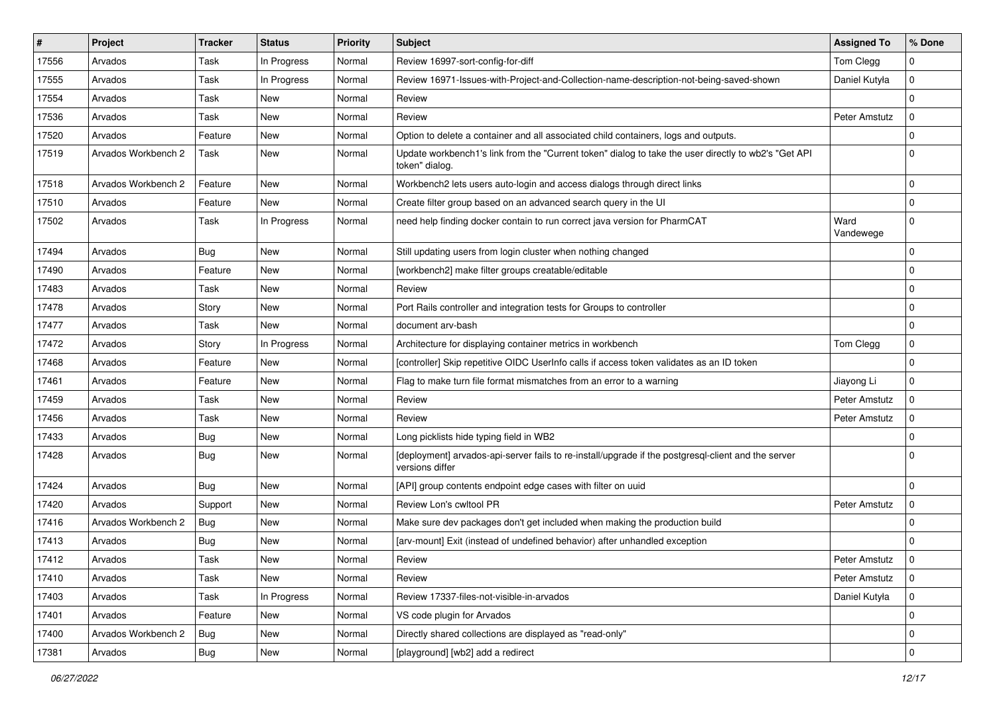| ∦     | Project             | <b>Tracker</b> | <b>Status</b> | <b>Priority</b> | <b>Subject</b>                                                                                                         | <b>Assigned To</b> | % Done      |
|-------|---------------------|----------------|---------------|-----------------|------------------------------------------------------------------------------------------------------------------------|--------------------|-------------|
| 17556 | Arvados             | Task           | In Progress   | Normal          | Review 16997-sort-config-for-diff                                                                                      | Tom Clegg          | $\Omega$    |
| 17555 | Arvados             | Task           | In Progress   | Normal          | Review 16971-Issues-with-Project-and-Collection-name-description-not-being-saved-shown                                 | Daniel Kutyła      | $\mathbf 0$ |
| 17554 | Arvados             | Task           | <b>New</b>    | Normal          | Review                                                                                                                 |                    | $\Omega$    |
| 17536 | Arvados             | Task           | New           | Normal          | Review                                                                                                                 | Peter Amstutz      | $\mathbf 0$ |
| 17520 | Arvados             | Feature        | New           | Normal          | Option to delete a container and all associated child containers, logs and outputs.                                    |                    | $\Omega$    |
| 17519 | Arvados Workbench 2 | Task           | New           | Normal          | Update workbench1's link from the "Current token" dialog to take the user directly to wb2's "Get API<br>token" dialog. |                    | $\Omega$    |
| 17518 | Arvados Workbench 2 | Feature        | New           | Normal          | Workbench2 lets users auto-login and access dialogs through direct links                                               |                    | $\mathbf 0$ |
| 17510 | Arvados             | Feature        | New           | Normal          | Create filter group based on an advanced search query in the UI                                                        |                    | $\Omega$    |
| 17502 | Arvados             | Task           | In Progress   | Normal          | need help finding docker contain to run correct java version for PharmCAT                                              | Ward<br>Vandewege  | $\mathbf 0$ |
| 17494 | Arvados             | Bug            | <b>New</b>    | Normal          | Still updating users from login cluster when nothing changed                                                           |                    | $\mathbf 0$ |
| 17490 | Arvados             | Feature        | New           | Normal          | [workbench2] make filter groups creatable/editable                                                                     |                    | $\Omega$    |
| 17483 | Arvados             | Task           | New           | Normal          | Review                                                                                                                 |                    | $\Omega$    |
| 17478 | Arvados             | Story          | New           | Normal          | Port Rails controller and integration tests for Groups to controller                                                   |                    | $\Omega$    |
| 17477 | Arvados             | Task           | New           | Normal          | document arv-bash                                                                                                      |                    | $\mathbf 0$ |
| 17472 | Arvados             | Story          | In Progress   | Normal          | Architecture for displaying container metrics in workbench                                                             | Tom Clegg          | $\mathbf 0$ |
| 17468 | Arvados             | Feature        | <b>New</b>    | Normal          | [controller] Skip repetitive OIDC UserInfo calls if access token validates as an ID token                              |                    | $\mathbf 0$ |
| 17461 | Arvados             | Feature        | New           | Normal          | Flag to make turn file format mismatches from an error to a warning                                                    | Jiayong Li         | $\Omega$    |
| 17459 | Arvados             | Task           | New           | Normal          | Review                                                                                                                 | Peter Amstutz      | $\Omega$    |
| 17456 | Arvados             | Task           | New           | Normal          | Review                                                                                                                 | Peter Amstutz      | $\Omega$    |
| 17433 | Arvados             | Bug            | New           | Normal          | Long picklists hide typing field in WB2                                                                                |                    | $\Omega$    |
| 17428 | Arvados             | Bug            | New           | Normal          | [deployment] arvados-api-server fails to re-install/upgrade if the postgresql-client and the server<br>versions differ |                    | $\Omega$    |
| 17424 | Arvados             | <b>Bug</b>     | <b>New</b>    | Normal          | [API] group contents endpoint edge cases with filter on uuid                                                           |                    | $\Omega$    |
| 17420 | Arvados             | Support        | New           | Normal          | Review Lon's cwltool PR                                                                                                | Peter Amstutz      | $\Omega$    |
| 17416 | Arvados Workbench 2 | Bug            | New           | Normal          | Make sure dev packages don't get included when making the production build                                             |                    | $\Omega$    |
| 17413 | Arvados             | <b>Bug</b>     | New           | Normal          | [arv-mount] Exit (instead of undefined behavior) after unhandled exception                                             |                    | $\Omega$    |
| 17412 | Arvados             | Task           | New           | Normal          | Review                                                                                                                 | Peter Amstutz      | $\Omega$    |
| 17410 | Arvados             | Task           | New           | Normal          | Review                                                                                                                 | Peter Amstutz      | $\Omega$    |
| 17403 | Arvados             | Task           | In Progress   | Normal          | Review 17337-files-not-visible-in-arvados                                                                              | Daniel Kutyła      | $\mathsf 0$ |
| 17401 | Arvados             | Feature        | New           | Normal          | VS code plugin for Arvados                                                                                             |                    | $\mathbf 0$ |
| 17400 | Arvados Workbench 2 | Bug            | New           | Normal          | Directly shared collections are displayed as "read-only"                                                               |                    | $\mathbf 0$ |
| 17381 | Arvados             | <b>Bug</b>     | New           | Normal          | [playground] [wb2] add a redirect                                                                                      |                    | $\mathbf 0$ |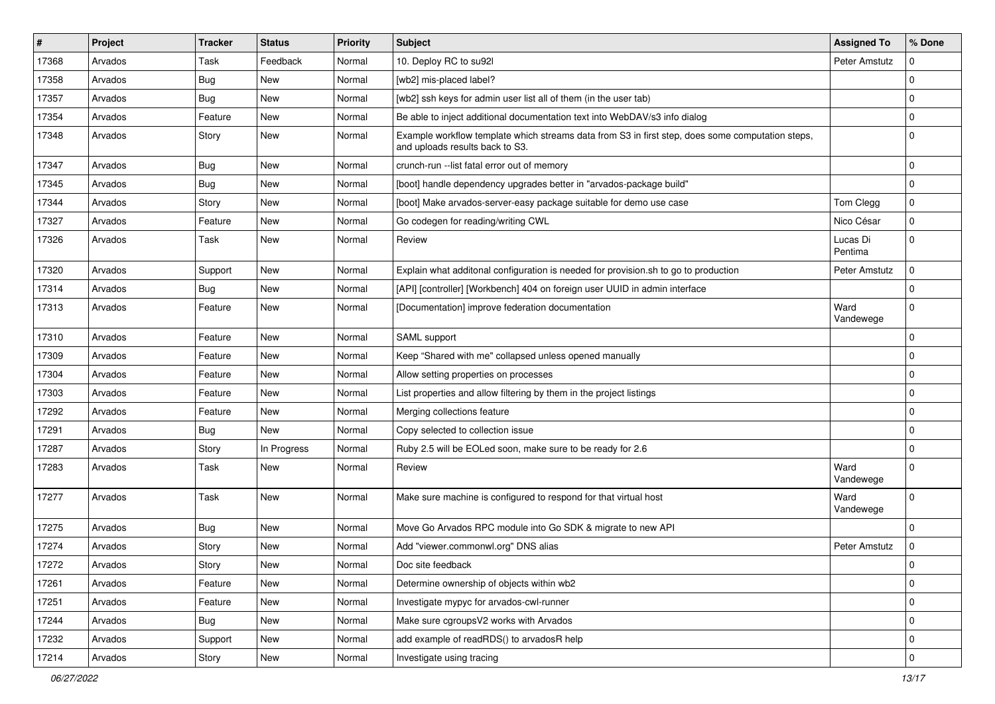| $\#$  | Project | <b>Tracker</b> | <b>Status</b> | <b>Priority</b> | <b>Subject</b>                                                                                                                      | <b>Assigned To</b>  | % Done      |
|-------|---------|----------------|---------------|-----------------|-------------------------------------------------------------------------------------------------------------------------------------|---------------------|-------------|
| 17368 | Arvados | Task           | Feedback      | Normal          | 10. Deploy RC to su92l                                                                                                              | Peter Amstutz       | U           |
| 17358 | Arvados | Bug            | <b>New</b>    | Normal          | [wb2] mis-placed label?                                                                                                             |                     | $\Omega$    |
| 17357 | Arvados | Bug            | New           | Normal          | [wb2] ssh keys for admin user list all of them (in the user tab)                                                                    |                     | $\mathbf 0$ |
| 17354 | Arvados | Feature        | New           | Normal          | Be able to inject additional documentation text into WebDAV/s3 info dialog                                                          |                     | $\Omega$    |
| 17348 | Arvados | Story          | New           | Normal          | Example workflow template which streams data from S3 in first step, does some computation steps,<br>and uploads results back to S3. |                     | $\Omega$    |
| 17347 | Arvados | Bug            | New           | Normal          | crunch-run -- list fatal error out of memory                                                                                        |                     | $\mathbf 0$ |
| 17345 | Arvados | Bug            | <b>New</b>    | Normal          | [boot] handle dependency upgrades better in "arvados-package build"                                                                 |                     | $\mathbf 0$ |
| 17344 | Arvados | Story          | <b>New</b>    | Normal          | [boot] Make arvados-server-easy package suitable for demo use case                                                                  | Tom Clegg           | $\mathbf 0$ |
| 17327 | Arvados | Feature        | <b>New</b>    | Normal          | Go codegen for reading/writing CWL                                                                                                  | Nico César          | $\mathbf 0$ |
| 17326 | Arvados | Task           | New           | Normal          | Review                                                                                                                              | Lucas Di<br>Pentima | $\mathbf 0$ |
| 17320 | Arvados | Support        | <b>New</b>    | Normal          | Explain what additonal configuration is needed for provision.sh to go to production                                                 | Peter Amstutz       | $\mathbf 0$ |
| 17314 | Arvados | <b>Bug</b>     | New           | Normal          | [API] [controller] [Workbench] 404 on foreign user UUID in admin interface                                                          |                     | $\Omega$    |
| 17313 | Arvados | Feature        | New           | Normal          | [Documentation] improve federation documentation                                                                                    | Ward<br>Vandewege   | $\Omega$    |
| 17310 | Arvados | Feature        | <b>New</b>    | Normal          | SAML support                                                                                                                        |                     | $\Omega$    |
| 17309 | Arvados | Feature        | <b>New</b>    | Normal          | Keep "Shared with me" collapsed unless opened manually                                                                              |                     | $\Omega$    |
| 17304 | Arvados | Feature        | New           | Normal          | Allow setting properties on processes                                                                                               |                     | $\Omega$    |
| 17303 | Arvados | Feature        | New           | Normal          | List properties and allow filtering by them in the project listings                                                                 |                     | $\mathbf 0$ |
| 17292 | Arvados | Feature        | New           | Normal          | Merging collections feature                                                                                                         |                     | $\Omega$    |
| 17291 | Arvados | <b>Bug</b>     | New           | Normal          | Copy selected to collection issue                                                                                                   |                     | $\mathbf 0$ |
| 17287 | Arvados | Story          | In Progress   | Normal          | Ruby 2.5 will be EOLed soon, make sure to be ready for 2.6                                                                          |                     | $\mathbf 0$ |
| 17283 | Arvados | Task           | New           | Normal          | Review                                                                                                                              | Ward<br>Vandewege   | $\mathbf 0$ |
| 17277 | Arvados | Task           | <b>New</b>    | Normal          | Make sure machine is configured to respond for that virtual host                                                                    | Ward<br>Vandewege   | $\mathbf 0$ |
| 17275 | Arvados | Bug            | New           | Normal          | Move Go Arvados RPC module into Go SDK & migrate to new API                                                                         |                     | $\Omega$    |
| 17274 | Arvados | Story          | <b>New</b>    | Normal          | Add "viewer.commonwl.org" DNS alias                                                                                                 | Peter Amstutz       | $\Omega$    |
| 17272 | Arvados | Story          | New           | Normal          | Doc site feedback                                                                                                                   |                     | 0           |
| 17261 | Arvados | Feature        | <b>New</b>    | Normal          | Determine ownership of objects within wb2                                                                                           |                     | $\mathbf 0$ |
| 17251 | Arvados | Feature        | New           | Normal          | Investigate mypyc for arvados-cwl-runner                                                                                            |                     | $\mathbf 0$ |
| 17244 | Arvados | <b>Bug</b>     | New           | Normal          | Make sure cgroupsV2 works with Arvados                                                                                              |                     | $\mathbf 0$ |
| 17232 | Arvados | Support        | New           | Normal          | add example of readRDS() to arvadosR help                                                                                           |                     | 0           |
| 17214 | Arvados | Story          | New           | Normal          | Investigate using tracing                                                                                                           |                     | $\mathbf 0$ |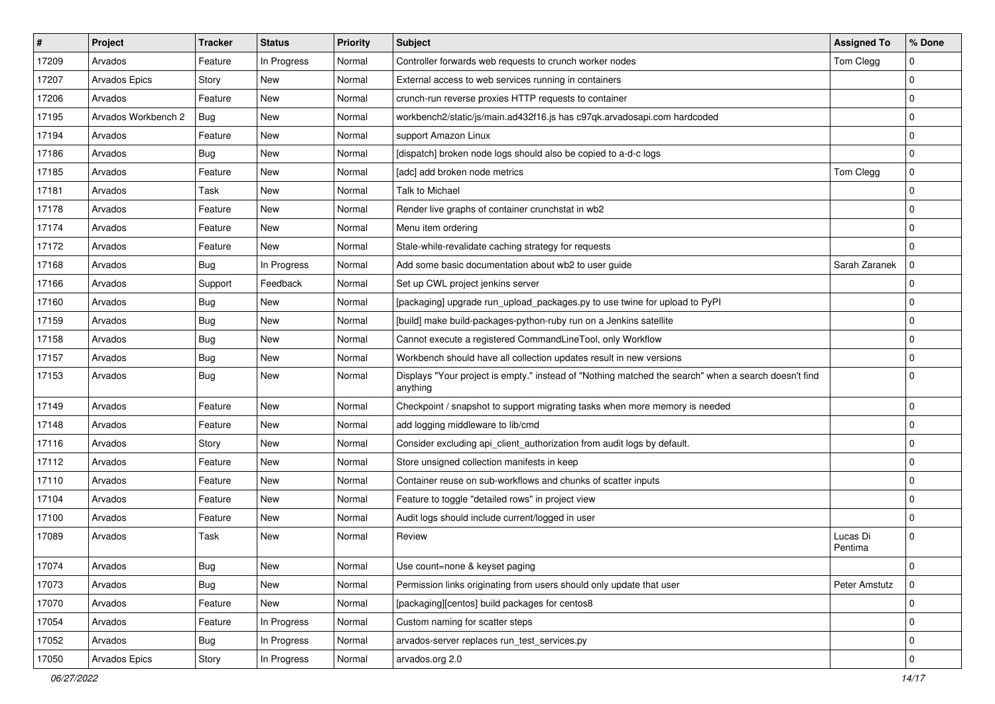| $\sharp$ | Project             | <b>Tracker</b> | <b>Status</b> | <b>Priority</b> | <b>Subject</b>                                                                                                   | <b>Assigned To</b>  | % Done      |
|----------|---------------------|----------------|---------------|-----------------|------------------------------------------------------------------------------------------------------------------|---------------------|-------------|
| 17209    | Arvados             | Feature        | In Progress   | Normal          | Controller forwards web requests to crunch worker nodes                                                          | Tom Clegg           | $\Omega$    |
| 17207    | Arvados Epics       | Story          | <b>New</b>    | Normal          | External access to web services running in containers                                                            |                     | $\mathbf 0$ |
| 17206    | Arvados             | Feature        | <b>New</b>    | Normal          | crunch-run reverse proxies HTTP requests to container                                                            |                     | $\mathbf 0$ |
| 17195    | Arvados Workbench 2 | Bug            | New           | Normal          | workbench2/static/js/main.ad432f16.js has c97qk.arvadosapi.com hardcoded                                         |                     | $\Omega$    |
| 17194    | Arvados             | Feature        | <b>New</b>    | Normal          | support Amazon Linux                                                                                             |                     | $\mathbf 0$ |
| 17186    | Arvados             | <b>Bug</b>     | New           | Normal          | [dispatch] broken node logs should also be copied to a-d-c logs                                                  |                     | $\Omega$    |
| 17185    | Arvados             | Feature        | New           | Normal          | [adc] add broken node metrics                                                                                    | Tom Clegg           | $\mathbf 0$ |
| 17181    | Arvados             | Task           | New           | Normal          | <b>Talk to Michael</b>                                                                                           |                     | $\mathbf 0$ |
| 17178    | Arvados             | Feature        | <b>New</b>    | Normal          | Render live graphs of container crunchstat in wb2                                                                |                     | $\Omega$    |
| 17174    | Arvados             | Feature        | New           | Normal          | Menu item ordering                                                                                               |                     | $\Omega$    |
| 17172    | Arvados             | Feature        | New           | Normal          | Stale-while-revalidate caching strategy for requests                                                             |                     | $\Omega$    |
| 17168    | Arvados             | Bug            | In Progress   | Normal          | Add some basic documentation about wb2 to user guide                                                             | Sarah Zaranek       | $\mathbf 0$ |
| 17166    | Arvados             | Support        | Feedback      | Normal          | Set up CWL project jenkins server                                                                                |                     | $\Omega$    |
| 17160    | Arvados             | Bug            | <b>New</b>    | Normal          | [packaging] upgrade run_upload_packages.py to use twine for upload to PyPI                                       |                     | $\Omega$    |
| 17159    | Arvados             | <b>Bug</b>     | <b>New</b>    | Normal          | [build] make build-packages-python-ruby run on a Jenkins satellite                                               |                     | $\mathbf 0$ |
| 17158    | Arvados             | Bug            | <b>New</b>    | Normal          | Cannot execute a registered CommandLineTool, only Workflow                                                       |                     | $\mathbf 0$ |
| 17157    | Arvados             | Bug            | New           | Normal          | Workbench should have all collection updates result in new versions                                              |                     | $\Omega$    |
| 17153    | Arvados             | Bug            | New           | Normal          | Displays "Your project is empty." instead of "Nothing matched the search" when a search doesn't find<br>anything |                     | $\mathbf 0$ |
| 17149    | Arvados             | Feature        | New           | Normal          | Checkpoint / snapshot to support migrating tasks when more memory is needed                                      |                     | $\mathbf 0$ |
| 17148    | Arvados             | Feature        | New           | Normal          | add logging middleware to lib/cmd                                                                                |                     | $\Omega$    |
| 17116    | Arvados             | Story          | <b>New</b>    | Normal          | Consider excluding api_client_authorization from audit logs by default.                                          |                     | $\mathbf 0$ |
| 17112    | Arvados             | Feature        | New           | Normal          | Store unsigned collection manifests in keep                                                                      |                     | $\mathbf 0$ |
| 17110    | Arvados             | Feature        | <b>New</b>    | Normal          | Container reuse on sub-workflows and chunks of scatter inputs                                                    |                     | $\mathbf 0$ |
| 17104    | Arvados             | Feature        | New           | Normal          | Feature to toggle "detailed rows" in project view                                                                |                     | $\mathbf 0$ |
| 17100    | Arvados             | Feature        | New           | Normal          | Audit logs should include current/logged in user                                                                 |                     | $\mathbf 0$ |
| 17089    | Arvados             | Task           | New           | Normal          | Review                                                                                                           | Lucas Di<br>Pentima | $\Omega$    |
| 17074    | Arvados             | Bug            | New           | Normal          | Use count=none & keyset paging                                                                                   |                     | 0           |
| 17073    | Arvados             | Bug            | New           | Normal          | Permission links originating from users should only update that user                                             | Peter Amstutz       | $\mathbf 0$ |
| 17070    | Arvados             | Feature        | New           | Normal          | [packaging][centos] build packages for centos8                                                                   |                     | $\mathbf 0$ |
| 17054    | Arvados             | Feature        | In Progress   | Normal          | Custom naming for scatter steps                                                                                  |                     | $\mathbf 0$ |
| 17052    | Arvados             | Bug            | In Progress   | Normal          | arvados-server replaces run_test_services.py                                                                     |                     | $\mathbf 0$ |
| 17050    | Arvados Epics       | Story          | In Progress   | Normal          | arvados.org 2.0                                                                                                  |                     | $\mathbf 0$ |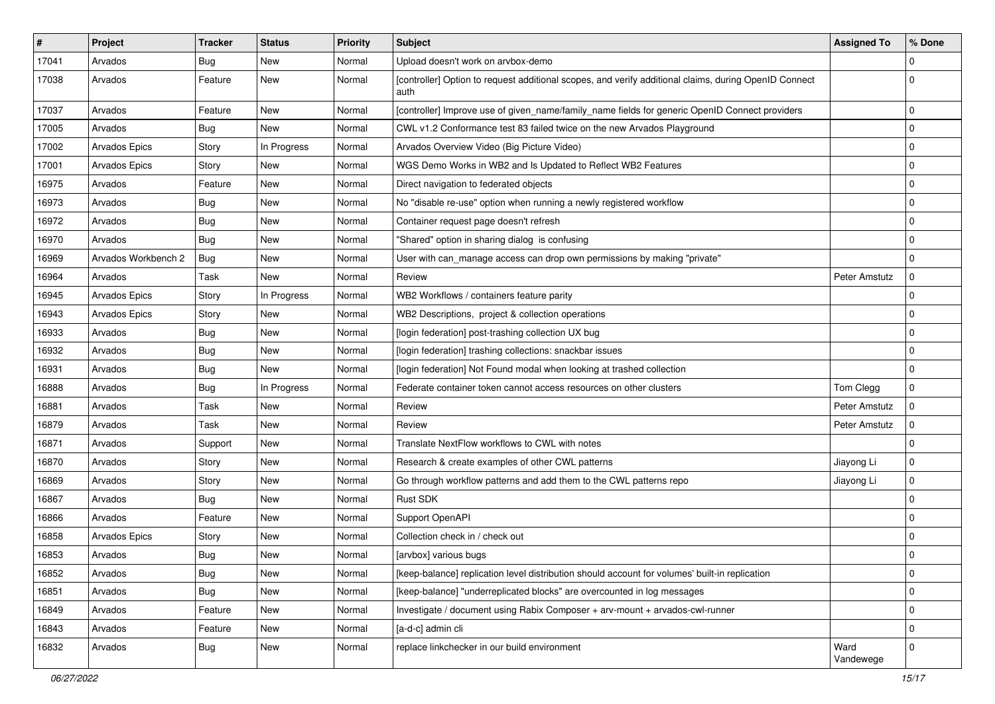| $\sharp$ | Project              | <b>Tracker</b> | <b>Status</b> | <b>Priority</b> | <b>Subject</b>                                                                                                | <b>Assigned To</b> | % Done      |
|----------|----------------------|----------------|---------------|-----------------|---------------------------------------------------------------------------------------------------------------|--------------------|-------------|
| 17041    | Arvados              | <b>Bug</b>     | New           | Normal          | Upload doesn't work on arvbox-demo                                                                            |                    | $\Omega$    |
| 17038    | Arvados              | Feature        | New           | Normal          | [controller] Option to request additional scopes, and verify additional claims, during OpenID Connect<br>auth |                    | $\Omega$    |
| 17037    | Arvados              | Feature        | New           | Normal          | [controller] Improve use of given_name/family_name fields for generic OpenID Connect providers                |                    | $\Omega$    |
| 17005    | Arvados              | Bug            | <b>New</b>    | Normal          | CWL v1.2 Conformance test 83 failed twice on the new Arvados Playground                                       |                    | $\mathbf 0$ |
| 17002    | <b>Arvados Epics</b> | Story          | In Progress   | Normal          | Arvados Overview Video (Big Picture Video)                                                                    |                    | $\Omega$    |
| 17001    | Arvados Epics        | Story          | <b>New</b>    | Normal          | WGS Demo Works in WB2 and Is Updated to Reflect WB2 Features                                                  |                    | $\mathbf 0$ |
| 16975    | Arvados              | Feature        | <b>New</b>    | Normal          | Direct navigation to federated objects                                                                        |                    | $\mathbf 0$ |
| 16973    | Arvados              | <b>Bug</b>     | New           | Normal          | No "disable re-use" option when running a newly registered workflow                                           |                    | $\Omega$    |
| 16972    | Arvados              | <b>Bug</b>     | <b>New</b>    | Normal          | Container request page doesn't refresh                                                                        |                    | $\mathbf 0$ |
| 16970    | Arvados              | Bug            | New           | Normal          | "Shared" option in sharing dialog is confusing                                                                |                    | $\Omega$    |
| 16969    | Arvados Workbench 2  | <b>Bug</b>     | New           | Normal          | User with can_manage access can drop own permissions by making "private"                                      |                    | $\mathbf 0$ |
| 16964    | Arvados              | Task           | New           | Normal          | Review                                                                                                        | Peter Amstutz      | $\mathbf 0$ |
| 16945    | <b>Arvados Epics</b> | Story          | In Progress   | Normal          | WB2 Workflows / containers feature parity                                                                     |                    | $\Omega$    |
| 16943    | <b>Arvados Epics</b> | Story          | <b>New</b>    | Normal          | WB2 Descriptions, project & collection operations                                                             |                    | $\Omega$    |
| 16933    | Arvados              | Bug            | New           | Normal          | [login federation] post-trashing collection UX bug                                                            |                    | $\mathbf 0$ |
| 16932    | Arvados              | <b>Bug</b>     | <b>New</b>    | Normal          | [login federation] trashing collections: snackbar issues                                                      |                    | $\mathbf 0$ |
| 16931    | Arvados              | <b>Bug</b>     | <b>New</b>    | Normal          | [login federation] Not Found modal when looking at trashed collection                                         |                    | $\mathbf 0$ |
| 16888    | Arvados              | Bug            | In Progress   | Normal          | Federate container token cannot access resources on other clusters                                            | Tom Clegg          | $\Omega$    |
| 16881    | Arvados              | Task           | <b>New</b>    | Normal          | Review                                                                                                        | Peter Amstutz      | $\mathbf 0$ |
| 16879    | Arvados              | Task           | New           | Normal          | Review                                                                                                        | Peter Amstutz      | $\Omega$    |
| 16871    | Arvados              | Support        | New           | Normal          | Translate NextFlow workflows to CWL with notes                                                                |                    | $\Omega$    |
| 16870    | Arvados              | Story          | <b>New</b>    | Normal          | Research & create examples of other CWL patterns                                                              | Jiayong Li         | $\mathbf 0$ |
| 16869    | Arvados              | Story          | New           | Normal          | Go through workflow patterns and add them to the CWL patterns repo                                            | Jiayong Li         | $\Omega$    |
| 16867    | Arvados              | Bug            | <b>New</b>    | Normal          | Rust SDK                                                                                                      |                    | $\mathbf 0$ |
| 16866    | Arvados              | Feature        | New           | Normal          | Support OpenAPI                                                                                               |                    | $\mathbf 0$ |
| 16858    | <b>Arvados Epics</b> | Story          | New           | Normal          | Collection check in / check out                                                                               |                    | $\Omega$    |
| 16853    | Arvados              | <b>Bug</b>     | New           | Normal          | [arvbox] various bugs                                                                                         |                    | $\Omega$    |
| 16852    | Arvados              | <b>Bug</b>     | New           | Normal          | [keep-balance] replication level distribution should account for volumes' built-in replication                |                    | $\mathbf 0$ |
| 16851    | Arvados              | <b>Bug</b>     | New           | Normal          | [keep-balance] "underreplicated blocks" are overcounted in log messages                                       |                    | $\mathbf 0$ |
| 16849    | Arvados              | Feature        | New           | Normal          | Investigate / document using Rabix Composer + arv-mount + arvados-cwl-runner                                  |                    | $\mathbf 0$ |
| 16843    | Arvados              | Feature        | New           | Normal          | [a-d-c] admin cli                                                                                             |                    | $\Omega$    |
| 16832    | Arvados              | Bug            | New           | Normal          | replace linkchecker in our build environment                                                                  | Ward<br>Vandewege  | $\mathbf 0$ |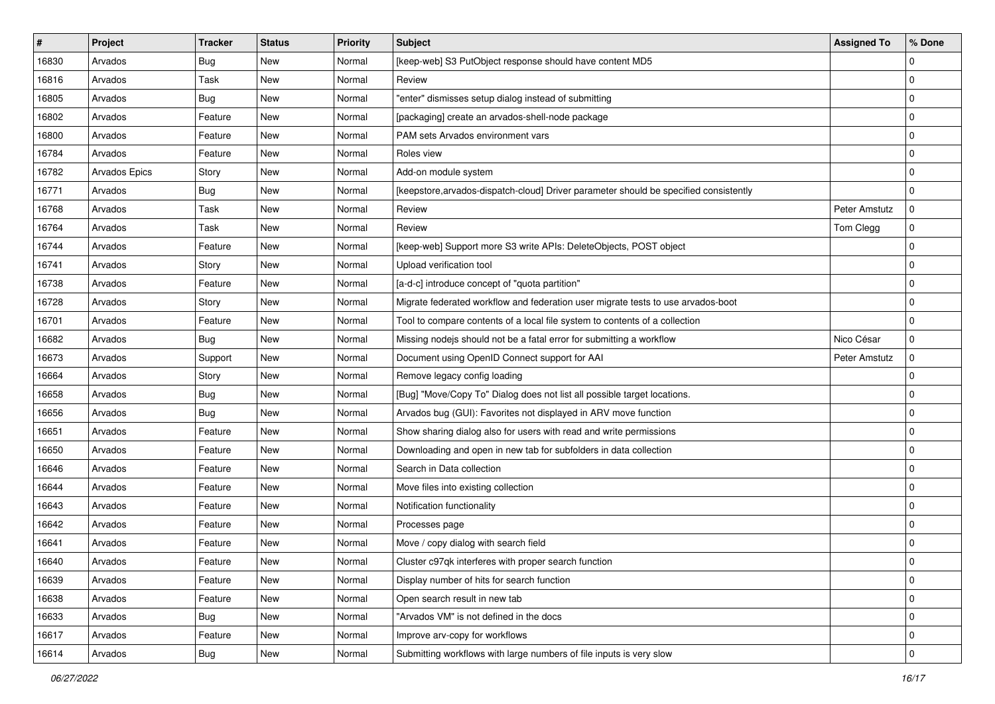| #     | <b>Project</b> | <b>Tracker</b> | <b>Status</b> | <b>Priority</b> | Subject                                                                               | <b>Assigned To</b> | % Done      |
|-------|----------------|----------------|---------------|-----------------|---------------------------------------------------------------------------------------|--------------------|-------------|
| 16830 | Arvados        | <b>Bug</b>     | New           | Normal          | [keep-web] S3 PutObject response should have content MD5                              |                    | 0           |
| 16816 | Arvados        | Task           | New           | Normal          | Review                                                                                |                    | $\mathbf 0$ |
| 16805 | Arvados        | <b>Bug</b>     | New           | Normal          | "enter" dismisses setup dialog instead of submitting                                  |                    | $\mathbf 0$ |
| 16802 | Arvados        | Feature        | New           | Normal          | [packaging] create an arvados-shell-node package                                      |                    | $\mathbf 0$ |
| 16800 | Arvados        | Feature        | New           | Normal          | PAM sets Arvados environment vars                                                     |                    | 0           |
| 16784 | Arvados        | Feature        | New           | Normal          | Roles view                                                                            |                    | $\mathbf 0$ |
| 16782 | Arvados Epics  | Story          | New           | Normal          | Add-on module system                                                                  |                    | $\mathbf 0$ |
| 16771 | Arvados        | <b>Bug</b>     | New           | Normal          | [keepstore, arvados-dispatch-cloud] Driver parameter should be specified consistently |                    | 0           |
| 16768 | Arvados        | Task           | New           | Normal          | Review                                                                                | Peter Amstutz      | $\Omega$    |
| 16764 | Arvados        | Task           | <b>New</b>    | Normal          | Review                                                                                | Tom Clegg          | $\mathbf 0$ |
| 16744 | Arvados        | Feature        | New           | Normal          | [keep-web] Support more S3 write APIs: DeleteObjects, POST object                     |                    | $\mathbf 0$ |
| 16741 | Arvados        | Story          | New           | Normal          | Upload verification tool                                                              |                    | $\mathbf 0$ |
| 16738 | Arvados        | Feature        | New           | Normal          | [a-d-c] introduce concept of "quota partition"                                        |                    | 0           |
| 16728 | Arvados        | Story          | New           | Normal          | Migrate federated workflow and federation user migrate tests to use arvados-boot      |                    | $\mathbf 0$ |
| 16701 | Arvados        | Feature        | New           | Normal          | Tool to compare contents of a local file system to contents of a collection           |                    | $\mathbf 0$ |
| 16682 | Arvados        | <b>Bug</b>     | New           | Normal          | Missing nodejs should not be a fatal error for submitting a workflow                  | Nico César         | 0           |
| 16673 | Arvados        | Support        | New           | Normal          | Document using OpenID Connect support for AAI                                         | Peter Amstutz      | $\mathbf 0$ |
| 16664 | Arvados        | Story          | New           | Normal          | Remove legacy config loading                                                          |                    | $\mathbf 0$ |
| 16658 | Arvados        | <b>Bug</b>     | New           | Normal          | [Bug] "Move/Copy To" Dialog does not list all possible target locations.              |                    | $\mathbf 0$ |
| 16656 | Arvados        | <b>Bug</b>     | New           | Normal          | Arvados bug (GUI): Favorites not displayed in ARV move function                       |                    | $\mathbf 0$ |
| 16651 | Arvados        | Feature        | New           | Normal          | Show sharing dialog also for users with read and write permissions                    |                    | $\mathbf 0$ |
| 16650 | Arvados        | Feature        | New           | Normal          | Downloading and open in new tab for subfolders in data collection                     |                    | $\mathbf 0$ |
| 16646 | Arvados        | Feature        | New           | Normal          | Search in Data collection                                                             |                    | $\mathbf 0$ |
| 16644 | Arvados        | Feature        | New           | Normal          | Move files into existing collection                                                   |                    | $\mathbf 0$ |
| 16643 | Arvados        | Feature        | New           | Normal          | Notification functionality                                                            |                    | $\mathbf 0$ |
| 16642 | Arvados        | Feature        | New           | Normal          | Processes page                                                                        |                    | 0           |
| 16641 | Arvados        | Feature        | New           | Normal          | Move / copy dialog with search field                                                  |                    | $\mathbf 0$ |
| 16640 | Arvados        | Feature        | New           | Normal          | Cluster c97qk interferes with proper search function                                  |                    | 0           |
| 16639 | Arvados        | Feature        | New           | Normal          | Display number of hits for search function                                            |                    | 0           |
| 16638 | Arvados        | Feature        | New           | Normal          | Open search result in new tab                                                         |                    | $\mathbf 0$ |
| 16633 | Arvados        | <b>Bug</b>     | New           | Normal          | "Arvados VM" is not defined in the docs                                               |                    | 0           |
| 16617 | Arvados        | Feature        | New           | Normal          | Improve arv-copy for workflows                                                        |                    | 0           |
| 16614 | Arvados        | Bug            | New           | Normal          | Submitting workflows with large numbers of file inputs is very slow                   |                    | $\pmb{0}$   |